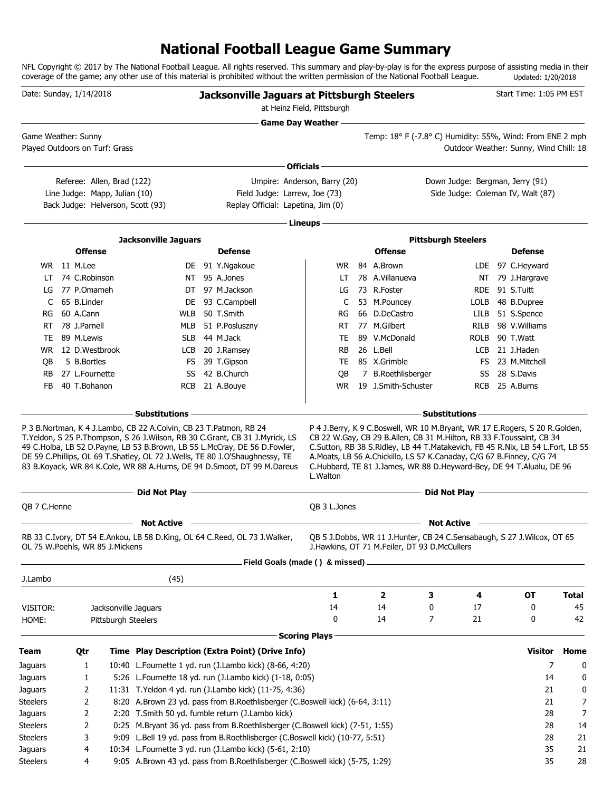## **National Football League Game Summary**

NFL Copyright © 2017 by The National Football League. All rights reserved. This summary and play-by-play is for the express purpose of assisting media in their coverage of the game; any other use of this material is prohibited without the written permission of the National Football League. Updated: 1/20/2018

|                                 | Date: Sunday, 1/14/2018 |                   |                                                             |                                   | <b>Jacksonville Jaguars at Pittsburgh Steelers</b>                                                                                                     | at Heinz Field, Pittsburgh                |                                                                                                                                              |                                 |             | Start Time: 1:05 PM EST                |              |
|---------------------------------|-------------------------|-------------------|-------------------------------------------------------------|-----------------------------------|--------------------------------------------------------------------------------------------------------------------------------------------------------|-------------------------------------------|----------------------------------------------------------------------------------------------------------------------------------------------|---------------------------------|-------------|----------------------------------------|--------------|
| Game Weather: Sunny             |                         |                   |                                                             |                                   |                                                                                                                                                        | <b>Game Day Weather --</b>                | Temp: 18° F (-7.8° C) Humidity: 55%, Wind: From ENE 2 mph                                                                                    |                                 |             |                                        |              |
| Played Outdoors on Turf: Grass  |                         |                   |                                                             |                                   |                                                                                                                                                        |                                           |                                                                                                                                              |                                 |             | Outdoor Weather: Sunny, Wind Chill: 18 |              |
|                                 |                         |                   |                                                             |                                   |                                                                                                                                                        | Officials -                               |                                                                                                                                              |                                 |             |                                        |              |
|                                 |                         |                   | Referee: Allen, Brad (122)<br>Line Judge: Mapp, Julian (10) |                                   | Field Judge: Larrew, Joe (73)                                                                                                                          | Umpire: Anderson, Barry (20)              |                                                                                                                                              | Down Judge: Bergman, Jerry (91) |             | Side Judge: Coleman IV, Walt (87)      |              |
|                                 |                         |                   |                                                             | Back Judge: Helverson, Scott (93) | Replay Official: Lapetina, Jim (0)                                                                                                                     |                                           |                                                                                                                                              |                                 |             |                                        |              |
|                                 |                         |                   |                                                             |                                   |                                                                                                                                                        | - Lineups -                               |                                                                                                                                              |                                 |             |                                        |              |
|                                 |                         |                   |                                                             | <b>Jacksonville Jaguars</b>       |                                                                                                                                                        |                                           |                                                                                                                                              | <b>Pittsburgh Steelers</b>      |             |                                        |              |
|                                 |                         | <b>Offense</b>    |                                                             |                                   | <b>Defense</b>                                                                                                                                         |                                           | <b>Offense</b>                                                                                                                               |                                 |             | <b>Defense</b>                         |              |
|                                 |                         | WR 11 M.Lee       |                                                             |                                   | DE 91 Y.Ngakoue                                                                                                                                        | WR                                        | 84 A.Brown                                                                                                                                   |                                 |             | LDE 97 C.Heyward                       |              |
|                                 |                         | LT 74 C.Robinson  |                                                             |                                   | NT 95 A.Jones                                                                                                                                          | LT.                                       | 78 A.Villanueva                                                                                                                              |                                 |             | NT 79 J.Hargrave                       |              |
| LG                              |                         | 77 P.Omameh       |                                                             |                                   | DT 97 M.Jackson                                                                                                                                        | LG                                        | 73 R.Foster                                                                                                                                  |                                 |             | RDE 91 S.Tuitt                         |              |
| C                               |                         | 65 B.Linder       |                                                             |                                   | DE 93 C.Campbell                                                                                                                                       | C                                         | 53 M.Pouncey                                                                                                                                 |                                 | LOLB        | 48 B.Dupree                            |              |
| RG                              |                         | 60 A.Cann         |                                                             | WLB                               | 50 T.Smith                                                                                                                                             | RG                                        | 66 D.DeCastro                                                                                                                                |                                 | LILB        | 51 S.Spence                            |              |
| RT                              |                         | 78 J.Parnell      |                                                             |                                   | MLB 51 P.Posluszny                                                                                                                                     | RT.                                       | 77 M.Gilbert                                                                                                                                 |                                 | RILB        | 98 V.Williams                          |              |
| TE                              |                         | 89 M.Lewis        |                                                             |                                   | SLB 44 M.Jack                                                                                                                                          | TE                                        | 89 V.McDonald                                                                                                                                |                                 | <b>ROLB</b> | 90 T.Watt                              |              |
|                                 |                         | WR 12 D.Westbrook |                                                             |                                   | LCB 20 J.Ramsey                                                                                                                                        | <b>RB</b>                                 | 26 L.Bell                                                                                                                                    |                                 | LCB         | 21 J.Haden                             |              |
| OВ                              |                         | 5 B.Bortles       |                                                             |                                   | FS 39 T.Gipson                                                                                                                                         | <b>TE</b>                                 | 85 X.Grimble                                                                                                                                 |                                 |             | FS 23 M.Mitchell                       |              |
| <b>RB</b>                       |                         | 27 L.Fournette    |                                                             |                                   | SS 42 B.Church                                                                                                                                         | QB                                        | 7 B.Roethlisberger                                                                                                                           |                                 | SS          | 28 S.Davis                             |              |
| FB.                             |                         | 40 T.Bohanon      |                                                             |                                   | RCB 21 A.Bouye                                                                                                                                         | <b>WR</b>                                 | 19 J.Smith-Schuster                                                                                                                          |                                 |             | RCB 25 A.Burns                         |              |
|                                 |                         |                   |                                                             |                                   | DE 59 C.Phillips, OL 69 T.Shatley, OL 72 J.Wells, TE 80 J.O'Shaughnessy, TE<br>83 B.Koyack, WR 84 K.Cole, WR 88 A.Hurns, DE 94 D.Smoot, DT 99 M.Dareus | L.Walton                                  | A.Moats, LB 56 A.Chickillo, LS 57 K.Canaday, C/G 67 B.Finney, C/G 74<br>C.Hubbard, TE 81 J.James, WR 88 D.Heyward-Bey, DE 94 T.Alualu, DE 96 |                                 |             |                                        |              |
|                                 |                         |                   |                                                             | Did Not Play -                    |                                                                                                                                                        | the control of the control of the control |                                                                                                                                              | Did Not Play -                  |             |                                        |              |
| QB 7 C.Henne                    |                         |                   |                                                             |                                   |                                                                                                                                                        | QB 3 L.Jones                              |                                                                                                                                              |                                 |             |                                        |              |
|                                 |                         |                   |                                                             | <b>Not Active</b>                 |                                                                                                                                                        |                                           |                                                                                                                                              | <b>Not Active</b>               |             |                                        |              |
| OL 75 W.Poehls, WR 85 J.Mickens |                         |                   |                                                             |                                   | RB 33 C.Ivory, DT 54 E.Ankou, LB 58 D.King, OL 64 C.Reed, OL 73 J.Walker,                                                                              |                                           | QB 5 J.Dobbs, WR 11 J.Hunter, CB 24 C.Sensabaugh, S 27 J.Wilcox, OT 65<br>J.Hawkins, OT 71 M.Feiler, DT 93 D.McCullers                       |                                 |             |                                        |              |
|                                 |                         |                   |                                                             |                                   | Field Goals (made () & missed).                                                                                                                        |                                           |                                                                                                                                              |                                 |             |                                        |              |
| J.Lambo                         |                         |                   |                                                             | (45)                              |                                                                                                                                                        |                                           |                                                                                                                                              |                                 |             |                                        |              |
|                                 |                         |                   |                                                             |                                   |                                                                                                                                                        | 1                                         | $\mathbf{2}$                                                                                                                                 | 3                               | 4           | <b>OT</b>                              | <b>Total</b> |
| VISITOR:                        |                         |                   | Jacksonville Jaguars                                        |                                   |                                                                                                                                                        | 14                                        | 14                                                                                                                                           | 0                               | 17          | 0                                      | 45           |
| HOME:                           |                         |                   | Pittsburgh Steelers                                         |                                   |                                                                                                                                                        | 0                                         | 14                                                                                                                                           | 7                               | 21          | 0                                      | 42           |
|                                 |                         |                   |                                                             |                                   |                                                                                                                                                        |                                           |                                                                                                                                              |                                 |             |                                        |              |
|                                 |                         |                   |                                                             |                                   |                                                                                                                                                        | <b>Scoring Plays</b>                      |                                                                                                                                              |                                 |             |                                        |              |
| Team                            |                         | Qtr               |                                                             |                                   | Time Play Description (Extra Point) (Drive Info)                                                                                                       |                                           |                                                                                                                                              |                                 |             | <b>Visitor</b>                         | Home         |
| Jaguars                         |                         | 1                 |                                                             |                                   | 10:40 L.Fournette 1 yd. run (J.Lambo kick) (8-66, 4:20)                                                                                                |                                           |                                                                                                                                              |                                 |             | 7                                      | 0            |
| Jaguars                         |                         | 1                 |                                                             |                                   | 5:26 L.Fournette 18 yd. run (J.Lambo kick) (1-18, 0:05)                                                                                                |                                           |                                                                                                                                              |                                 |             | 14                                     | 0            |
| Jaguars                         |                         | 2                 |                                                             |                                   | 11:31 T.Yeldon 4 yd. run (J.Lambo kick) (11-75, 4:36)                                                                                                  |                                           |                                                                                                                                              |                                 |             | 21                                     | 0            |
| <b>Steelers</b>                 |                         | 2                 |                                                             |                                   | 8:20 A.Brown 23 yd. pass from B.Roethlisberger (C.Boswell kick) (6-64, 3:11)                                                                           |                                           |                                                                                                                                              |                                 |             | 21                                     | 7            |
| Jaguars                         |                         | 2                 |                                                             |                                   | 2:20 T.Smith 50 yd. fumble return (J.Lambo kick)                                                                                                       |                                           |                                                                                                                                              |                                 |             | 28                                     | 7            |
| <b>Steelers</b>                 |                         | 2                 |                                                             |                                   | 0:25 M.Bryant 36 yd. pass from B.Roethlisberger (C.Boswell kick) (7-51, 1:55)                                                                          |                                           |                                                                                                                                              |                                 |             | 28                                     | 14           |
| <b>Steelers</b>                 |                         | 3                 |                                                             |                                   | 9:09 L.Bell 19 yd. pass from B.Roethlisberger (C.Boswell kick) (10-77, 5:51)                                                                           |                                           |                                                                                                                                              |                                 |             | 28                                     | 21           |
| Jaguars                         |                         | 4                 |                                                             |                                   | 10:34 L.Fournette 3 yd. run (J.Lambo kick) (5-61, 2:10)                                                                                                |                                           |                                                                                                                                              |                                 |             | 35                                     | 21           |
| <b>Steelers</b>                 |                         | 4                 |                                                             |                                   | 9:05 A.Brown 43 yd. pass from B.Roethlisberger (C.Boswell kick) (5-75, 1:29)                                                                           |                                           |                                                                                                                                              |                                 |             | 35                                     | 28           |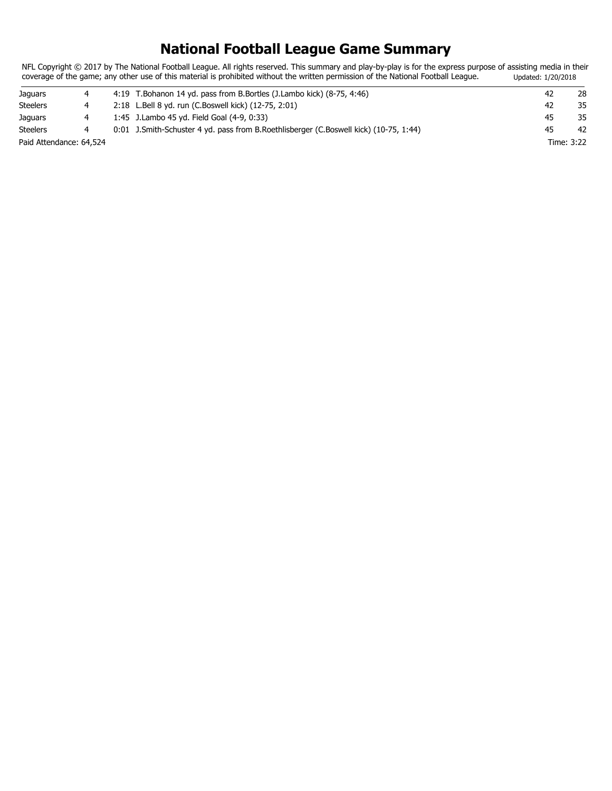## **National Football League Game Summary**

NFL Copyright © 2017 by The National Football League. All rights reserved. This summary and play-by-play is for the express purpose of assisting media in their coverage of the game; any other use of this material is prohibited without the written permission of the National Football League. Updated: 1/20/2018

| Jaquars                 |  | 4:19 T.Bohanon 14 yd. pass from B.Bortles (J.Lambo kick) (8-75, 4:46)                 |    | 28         |
|-------------------------|--|---------------------------------------------------------------------------------------|----|------------|
| <b>Steelers</b>         |  | 2:18 L.Bell 8 yd. run (C.Boswell kick) (12-75, 2:01)                                  | 42 | 35         |
| Jaquars                 |  | 1:45 J.Lambo 45 yd. Field Goal (4-9, 0:33)                                            | 45 | 35         |
| <b>Steelers</b>         |  | 0:01 J.Smith-Schuster 4 yd. pass from B.Roethlisberger (C.Boswell kick) (10-75, 1:44) | 45 | 42         |
| Paid Attendance: 64,524 |  |                                                                                       |    | Time: 3:22 |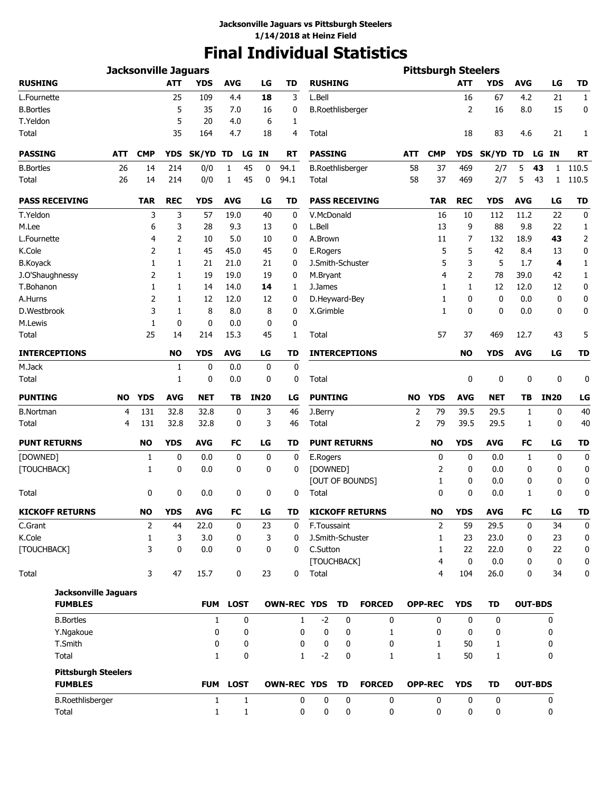# **Final Individual Statistics**

|                             |           | <b>Jacksonville Jaguars</b> |            |              |              |             |                    |                     |                         |                        |                | <b>Pittsburgh Steelers</b> |             |             |              |                    |                |
|-----------------------------|-----------|-----------------------------|------------|--------------|--------------|-------------|--------------------|---------------------|-------------------------|------------------------|----------------|----------------------------|-------------|-------------|--------------|--------------------|----------------|
| <b>RUSHING</b>              |           |                             | <b>ATT</b> | <b>YDS</b>   | <b>AVG</b>   | LG          | <b>TD</b>          | <b>RUSHING</b>      |                         |                        |                |                            | <b>ATT</b>  | <b>YDS</b>  | <b>AVG</b>   | LG                 | <b>TD</b>      |
| L.Fournette                 |           |                             | 25         | 109          | 4.4          | 18          | 3                  | L.Bell              |                         |                        |                |                            | 16          | 67          | 4.2          | 21                 | $\mathbf{1}$   |
| <b>B.Bortles</b>            |           |                             | 5          | 35           | 7.0          | 16          | 0                  |                     | <b>B.Roethlisberger</b> |                        |                |                            | 2           | 16          | 8.0          | 15                 | 0              |
| T.Yeldon                    |           |                             | 5          | 20           | 4.0          | 6           | 1                  |                     |                         |                        |                |                            |             |             |              |                    |                |
| Total                       |           |                             | 35         | 164          | 4.7          | 18          | 4                  | Total               |                         |                        |                |                            | 18          | 83          | 4.6          | 21                 | 1              |
| <b>PASSING</b>              | ATT       | <b>CMP</b>                  | <b>YDS</b> | SK/YD TD     |              | LG IN       | RT                 | <b>PASSING</b>      |                         |                        | ATT            | <b>CMP</b>                 | <b>YDS</b>  | SK/YD TD    |              | LG IN              | <b>RT</b>      |
| <b>B.Bortles</b>            | 26        | 14                          | 214        | 0/0          | 1            | 45<br>0     | 94.1               |                     | <b>B.Roethlisberger</b> |                        | 58             | 37                         | 469         | 2/7         | 5            | 43<br>1            | 110.5          |
| Total                       | 26        | 14                          | 214        | 0/0          | 1            | 45<br>0     | 94.1               | Total               |                         |                        | 58             | 37                         | 469         | 2/7         | 5            | 43<br>$\mathbf{1}$ | 110.5          |
| <b>PASS RECEIVING</b>       |           | <b>TAR</b>                  | <b>REC</b> | <b>YDS</b>   | <b>AVG</b>   | LG          | TD                 |                     |                         | <b>PASS RECEIVING</b>  |                | TAR                        | <b>REC</b>  | <b>YDS</b>  | <b>AVG</b>   | LG                 | <b>TD</b>      |
| T.Yeldon                    |           | 3                           | 3          | 57           | 19.0         | 40          | 0                  | V.McDonald          |                         |                        |                | 16                         | 10          | 112         | 11.2         | 22                 | 0              |
| M.Lee                       |           | 6                           | 3          | 28           | 9.3          | 13          | 0                  | L.Bell              |                         |                        |                | 13                         | 9           | 88          | 9.8          | 22                 | 1              |
| L.Fournette                 |           | 4                           | 2          | 10           | 5.0          | 10          | 0                  | A.Brown             |                         |                        |                | 11                         | 7           | 132         | 18.9         | 43                 | $\overline{2}$ |
| K.Cole                      |           | 2                           | 1          | 45           | 45.0         | 45          | 0                  | E.Rogers            |                         |                        |                | 5                          | 5           | 42          | 8.4          | 13                 | 0              |
| <b>B.Koyack</b>             |           | 1                           | 1          | 21           | 21.0         | 21          | 0                  | J.Smith-Schuster    |                         |                        |                | 5                          | 3           | 5           | 1.7          | 4                  | 1              |
| J.O'Shaughnessy             |           | 2                           | 1          | 19           | 19.0         | 19          | 0                  | M.Bryant            |                         |                        |                | 4                          | 2           | 78          | 39.0         | 42                 | 1              |
| T.Bohanon                   |           | 1                           | 1          | 14           | 14.0         | 14          | 1                  | J.James             |                         |                        |                | 1                          | 1           | 12          | 12.0         | 12                 | 0              |
| A.Hurns                     |           | 2                           | 1          | 12           | 12.0         | 12          | 0                  |                     | D.Heyward-Bey           |                        |                | 1                          | 0           | 0           | 0.0          | 0                  | 0              |
| D.Westbrook                 |           | 3                           | 1          | 8            | 8.0          | 8           | 0                  | X.Grimble           |                         |                        |                | 1                          | 0           | 0           | 0.0          | 0                  | 0              |
| M.Lewis                     |           | 1                           | 0          | 0            | 0.0          | $\mathbf 0$ | 0                  |                     |                         |                        |                |                            |             |             |              |                    |                |
| Total                       |           | 25                          | 14         | 214          | 15.3         | 45          | 1                  | Total               |                         |                        |                | 57                         | 37          | 469         | 12.7         | 43                 | 5              |
| <b>INTERCEPTIONS</b>        |           |                             | <b>NO</b>  | <b>YDS</b>   | <b>AVG</b>   | LG          | <b>TD</b>          |                     |                         | <b>INTERCEPTIONS</b>   |                |                            | <b>NO</b>   | <b>YDS</b>  | <b>AVG</b>   | LG                 | <b>TD</b>      |
| M.Jack                      |           |                             | 1          | 0            | 0.0          | 0           | $\mathbf 0$        |                     |                         |                        |                |                            |             |             |              |                    |                |
| Total                       |           |                             | 1          | 0            | 0.0          | 0           | 0                  | Total               |                         |                        |                |                            | 0           | 0           | 0            | 0                  | 0              |
| <b>PUNTING</b>              | <b>NO</b> | <b>YDS</b>                  | <b>AVG</b> | <b>NET</b>   | TВ           | <b>IN20</b> | LG                 | <b>PUNTING</b>      |                         |                        | <b>NO</b>      | <b>YDS</b>                 | <b>AVG</b>  | <b>NET</b>  | TB           | <b>IN20</b>        | LG             |
| <b>B.Nortman</b>            | 4         | 131                         | 32.8       | 32.8         | 0            | 3           | 46                 | J.Berry             |                         |                        | $\overline{2}$ | 79                         | 39.5        | 29.5        | 1            | 0                  | 40             |
| Total                       | 4         | 131                         | 32.8       | 32.8         | 0            | 3           | 46                 | Total               |                         |                        | $\overline{2}$ | 79                         | 39.5        | 29.5        | $\mathbf{1}$ | 0                  | 40             |
| <b>PUNT RETURNS</b>         |           | <b>NO</b>                   | <b>YDS</b> | <b>AVG</b>   | FC           | LG          | <b>TD</b>          | <b>PUNT RETURNS</b> |                         |                        |                | <b>NO</b>                  | <b>YDS</b>  | <b>AVG</b>  | FC           | LG                 | <b>TD</b>      |
| [DOWNED]                    |           | 1                           | 0          | 0.0          | 0            | 0           | 0                  | E.Rogers            |                         |                        |                | 0                          | 0           | 0.0         | 1            | 0                  | 0              |
| [TOUCHBACK]                 |           | 1                           | 0          | 0.0          | 0            | 0           | 0                  | [DOWNED]            |                         |                        |                | 2                          | 0           | 0.0         | 0            | 0                  | 0              |
|                             |           |                             |            |              |              |             |                    |                     |                         | [OUT OF BOUNDS]        |                | 1                          | 0           | 0.0         | 0            | 0                  | 0              |
| Total                       |           | 0                           | 0          | 0.0          | 0            | 0           | 0                  | Total               |                         |                        |                | $\mathbf{0}$               | 0           | 0.0         | 1            | 0                  | 0              |
| <b>KICKOFF RETURNS</b>      |           | <b>NO</b>                   | <b>YDS</b> | AVG          | FC           | LG          | TD                 |                     |                         | <b>KICKOFF RETURNS</b> |                | <b>NO</b>                  | <b>YDS</b>  | AVG         | FC           | LG                 | TD             |
| C.Grant                     |           | 2                           | 44         | 22.0         | 0            | 23          | 0                  | F.Toussaint         |                         |                        |                | 2                          | 59          | 29.5        | 0            | 34                 | 0              |
| K.Cole                      |           | $\mathbf{1}$                | 3          | 3.0          | 0            | 3           | 0                  | J.Smith-Schuster    |                         |                        |                | $\mathbf{1}$               | 23          | 23.0        | 0            | 23                 | 0              |
| [TOUCHBACK]                 |           | 3                           | 0          | 0.0          | 0            | 0           | 0                  | C.Sutton            |                         |                        |                | 1                          | 22          | 22.0        | 0            | 22                 | 0              |
|                             |           |                             |            |              |              |             |                    |                     | [TOUCHBACK]             |                        |                | $\overline{4}$             | $\mathbf 0$ | 0.0         | 0            | 0                  | 0              |
| Total                       |           | 3                           | 47         | 15.7         | 0            | 23          | 0                  | Total               |                         |                        |                | 4                          | 104         | 26.0        | 0            | 34                 | 0              |
| <b>Jacksonville Jaguars</b> |           |                             |            |              |              |             |                    |                     |                         |                        |                |                            |             |             |              |                    |                |
| <b>FUMBLES</b>              |           |                             |            | <b>FUM</b>   | <b>LOST</b>  |             | <b>OWN-REC YDS</b> |                     | TD                      | <b>FORCED</b>          |                | <b>OPP-REC</b>             | <b>YDS</b>  | <b>TD</b>   |              | <b>OUT-BDS</b>     |                |
| <b>B.Bortles</b>            |           |                             |            | $\mathbf{1}$ | $\mathbf 0$  |             | $\mathbf{1}$       | $-2$                | 0                       | $\mathbf 0$            |                | $\mathbf{0}$               | 0           | 0           |              | 0                  |                |
| Y.Ngakoue                   |           |                             |            | 0            | 0            |             | 0                  | 0                   | 0                       | 1                      |                | 0                          | 0           | 0           |              | 0                  |                |
| T.Smith                     |           |                             |            | 0            | 0            |             | 0                  | 0                   | 0                       | 0                      |                | 1                          | 50          | 1           |              | 0                  |                |
| Total                       |           |                             |            | $\mathbf{1}$ | 0            |             | 1                  | $-2$                | 0                       | 1                      |                | $\mathbf{1}$               | 50          | 1           |              | 0                  |                |
| <b>Pittsburgh Steelers</b>  |           |                             |            |              |              |             |                    |                     |                         |                        |                |                            |             |             |              |                    |                |
| <b>FUMBLES</b>              |           |                             |            |              | FUM LOST     |             | <b>OWN-REC YDS</b> |                     | TD                      | <b>FORCED</b>          |                | <b>OPP-REC</b>             | <b>YDS</b>  | <b>TD</b>   |              | <b>OUT-BDS</b>     |                |
| <b>B.Roethlisberger</b>     |           |                             |            | $\mathbf{1}$ | $\mathbf{1}$ |             | 0                  | $\mathbf 0$         | 0                       | 0                      |                | $\mathbf 0$                | 0           | $\mathbf 0$ |              | 0                  |                |
| Total                       |           |                             |            | $\mathbf{1}$ | 1            |             | 0                  | 0                   | 0                       | 0                      |                | 0                          | 0           | 0           |              | 0                  |                |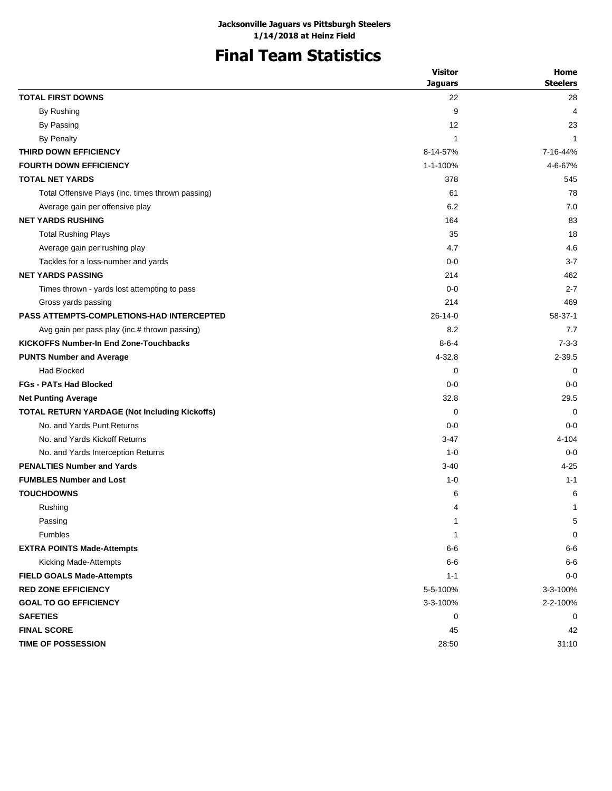# **Final Team Statistics**

|                                                      | <b>Visitor</b> | Home            |
|------------------------------------------------------|----------------|-----------------|
|                                                      | <b>Jaquars</b> | <b>Steelers</b> |
| <b>TOTAL FIRST DOWNS</b>                             | 22             | 28              |
| By Rushing                                           | 9              | 4               |
| By Passing                                           | 12             | 23              |
| <b>By Penalty</b>                                    | 1              | 1               |
| THIRD DOWN EFFICIENCY                                | 8-14-57%       | 7-16-44%        |
| <b>FOURTH DOWN EFFICIENCY</b>                        | 1-1-100%       | 4-6-67%         |
| <b>TOTAL NET YARDS</b>                               | 378            | 545             |
| Total Offensive Plays (inc. times thrown passing)    | 61             | 78              |
| Average gain per offensive play                      | 6.2            | 7.0             |
| <b>NET YARDS RUSHING</b>                             | 164            | 83              |
| <b>Total Rushing Plays</b>                           | 35             | 18              |
| Average gain per rushing play                        | 4.7            | 4.6             |
| Tackles for a loss-number and yards                  | $0-0$          | $3 - 7$         |
| <b>NET YARDS PASSING</b>                             | 214            | 462             |
| Times thrown - yards lost attempting to pass         | $0 - 0$        | $2 - 7$         |
| Gross yards passing                                  | 214            | 469             |
| <b>PASS ATTEMPTS-COMPLETIONS-HAD INTERCEPTED</b>     | 26-14-0        | 58-37-1         |
| Avg gain per pass play (inc.# thrown passing)        | 8.2            | 7.7             |
| <b>KICKOFFS Number-In End Zone-Touchbacks</b>        | $8 - 6 - 4$    | $7 - 3 - 3$     |
| <b>PUNTS Number and Average</b>                      | 4-32.8         | $2 - 39.5$      |
| Had Blocked                                          | 0              | 0               |
| <b>FGs - PATs Had Blocked</b>                        | $0-0$          | $0 - 0$         |
| <b>Net Punting Average</b>                           | 32.8           | 29.5            |
| <b>TOTAL RETURN YARDAGE (Not Including Kickoffs)</b> | 0              | $\Omega$        |
| No. and Yards Punt Returns                           | $0 - 0$        | $0 - 0$         |
| No. and Yards Kickoff Returns                        | $3-47$         | 4-104           |
| No. and Yards Interception Returns                   | $1 - 0$        | $0 - 0$         |
| <b>PENALTIES Number and Yards</b>                    | $3 - 40$       | $4 - 25$        |
| <b>FUMBLES Number and Lost</b>                       | $1 - 0$        | $1 - 1$         |
| <b>TOUCHDOWNS</b>                                    | 6              | 6               |
| Rushing                                              | 4              | 1               |
| Passing                                              | 1              | $\mathbf 5$     |
| Fumbles                                              | 1              | 0               |
| <b>EXTRA POINTS Made-Attempts</b>                    | $6-6$          | $6-6$           |
| Kicking Made-Attempts                                | $6-6$          | $6-6$           |
| <b>FIELD GOALS Made-Attempts</b>                     | $1 - 1$        | $0-0$           |
| <b>RED ZONE EFFICIENCY</b>                           | 5-5-100%       | 3-3-100%        |
| <b>GOAL TO GO EFFICIENCY</b>                         | 3-3-100%       | 2-2-100%        |
| <b>SAFETIES</b>                                      | 0              | 0               |
| <b>FINAL SCORE</b>                                   | 45             | 42              |
| <b>TIME OF POSSESSION</b>                            | 28:50          | 31:10           |
|                                                      |                |                 |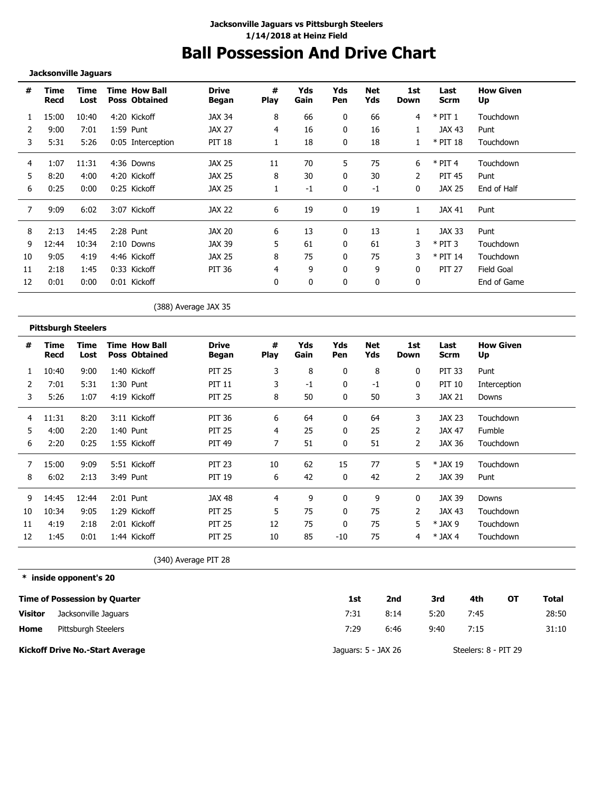# **Ball Possession And Drive Chart**

#### **Jacksonville Jaguars**

| #  | Time<br>Recd | Time<br>Lost |      | <b>Time How Ball</b><br><b>Poss Obtained</b> | <b>Drive</b><br>Began | #<br><b>Play</b> | Yds<br>Gain | Yds<br>Pen | Net<br>Yds | 1st<br>Down | Last<br>Scrm  | <b>How Given</b><br>Up |
|----|--------------|--------------|------|----------------------------------------------|-----------------------|------------------|-------------|------------|------------|-------------|---------------|------------------------|
|    | 15:00        | 10:40        |      | 4:20 Kickoff                                 | JAX 34                | 8                | 66          | 0          | 66         | 4           | $*$ PIT 1     | Touchdown              |
|    | 9:00         | 7:01         |      | 1:59 Punt                                    | <b>JAX 27</b>         | 4                | 16          | 0          | 16         |             | JAX 43        | Punt                   |
| 3  | 5:31         | 5:26         |      | 0:05 Interception                            | PIT 18                |                  | 18          | 0          | 18         |             | $*$ PIT 18    | Touchdown              |
| 4  | 1:07         | 11:31        |      | 4:36 Downs                                   | JAX 25                | 11               | 70          | 5          | 75         | 6           | $*$ PIT 4     | Touchdown              |
| 5  | 8:20         | 4:00         |      | 4:20 Kickoff                                 | JAX 25                | 8                | 30          | 0          | 30         | 2           | <b>PIT 45</b> | Punt                   |
| 6  | 0:25         | 0:00         |      | 0:25 Kickoff                                 | <b>JAX 25</b>         |                  | $-1$        | 0          | $-1$       | 0           | JAX 25        | End of Half            |
|    | 9:09         | 6:02         | 3:07 | Kickoff                                      | JAX 22                | 6                | 19          |            | 19         |             | JAX 41        | Punt                   |
| 8  | 2:13         | 14:45        |      | 2:28 Punt                                    | JAX 20                | 6                | 13          | 0          | 13         |             | JAX 33        | Punt                   |
| 9  | 12:44        | 10:34        |      | 2:10 Downs                                   | JAX 39                | 5                | 61          | 0          | 61         | 3           | $*$ PIT 3     | Touchdown              |
| 10 | 9:05         | 4:19         |      | 4:46 Kickoff                                 | <b>JAX 25</b>         | 8                | 75          | 0          | 75         | 3           | $*$ PIT 14    | Touchdown              |
| 11 | 2:18         | 1:45         |      | 0:33 Kickoff                                 | PIT 36                | 4                | 9           | 0          | 9          | 0           | <b>PIT 27</b> | Field Goal             |
| 12 | 0:01         | 0:00         |      | 0:01 Kickoff                                 |                       | 0                | 0           | 0          | 0          | 0           |               | End of Game            |

(388) Average JAX 35

#### **Pittsburgh Steelers**

| #  | Time<br>Recd | Time<br>Lost | <b>Time How Ball</b><br><b>Poss Obtained</b> | <b>Drive</b><br>Began | #<br><b>Play</b> | Yds<br>Gain | Yds<br>Pen   | Net<br>Yds | 1st<br>Down    | Last<br><b>Scrm</b> | <b>How Given</b><br>Up |
|----|--------------|--------------|----------------------------------------------|-----------------------|------------------|-------------|--------------|------------|----------------|---------------------|------------------------|
|    | 10:40        | 9:00         | 1:40 Kickoff                                 | <b>PIT 25</b>         | 3                | 8           | 0            | 8          | 0              | <b>PIT 33</b>       | Punt                   |
| 2  | 7:01         | 5:31         | 1:30 Punt                                    | <b>PIT 11</b>         | 3                | $-1$        | $\mathbf{0}$ | $-1$       | 0              | <b>PIT 10</b>       | Interception           |
| 3  | 5:26         | 1:07         | 4:19 Kickoff                                 | <b>PIT 25</b>         | 8                | 50          | 0            | 50         | 3              | <b>JAX 21</b>       | Downs                  |
| 4  | 11:31        | 8:20         | 3:11 Kickoff                                 | PIT 36                | 6                | 64          | 0            | 64         | 3              | <b>JAX 23</b>       | Touchdown              |
| 5  | 4:00         | 2:20         | 1:40 Punt                                    | <b>PIT 25</b>         | 4                | 25          | $\Omega$     | 25         | 2              | <b>JAX 47</b>       | Fumble                 |
| 6  | 2:20         | 0:25         | 1:55 Kickoff                                 | <b>PIT 49</b>         |                  | 51          | 0            | 51         | 2              | JAX 36              | Touchdown              |
|    | 15:00        | 9:09         | 5:51 Kickoff                                 | <b>PIT 23</b>         | 10               | 62          | 15           | 77         | 5              | * JAX 19            | Touchdown              |
| 8  | 6:02         | 2:13         | 3:49 Punt                                    | <b>PIT 19</b>         | 6                | 42          | $\mathbf{0}$ | 42         | $\overline{2}$ | <b>JAX 39</b>       | Punt                   |
| 9  | 14:45        | 12:44        | 2:01 Punt                                    | <b>JAX 48</b>         | 4                | 9           | 0            | 9          | 0              | JAX 39              | Downs                  |
| 10 | 10:34        | 9:05         | 1:29 Kickoff                                 | <b>PIT 25</b>         | 5                | 75          | 0            | 75         | 2              | <b>JAX 43</b>       | Touchdown              |
| 11 | 4:19         | 2:18         | 2:01 Kickoff                                 | <b>PIT 25</b>         | 12               | 75          | $\mathbf{0}$ | 75         | 5              | $*$ JAX 9           | Touchdown              |
| 12 | 1:45         | 0:01         | 1:44 Kickoff                                 | <b>PIT 25</b>         | 10               | 85          | $-10$        | 75         | 4              | $*$ JAX 4           | Touchdown              |

(340) Average PIT 28

**\* inside opponent's 20**

|                | <b>Time of Possession by Quarter</b> | 1st                 | 2nd  | 3rd  | 4th                  | ΟТ | Total |
|----------------|--------------------------------------|---------------------|------|------|----------------------|----|-------|
| <b>Visitor</b> | Jacksonville Jaguars                 | 7:31                | 8:14 | 5:20 | 7:45                 |    | 28:50 |
| Home           | Pittsburgh Steelers                  | 7:29                | 6:46 | 9:40 | 7:15                 |    | 31:10 |
|                | Kickoff Drive No.-Start Average      | Jaguars: 5 - JAX 26 |      |      | Steelers: 8 - PIT 29 |    |       |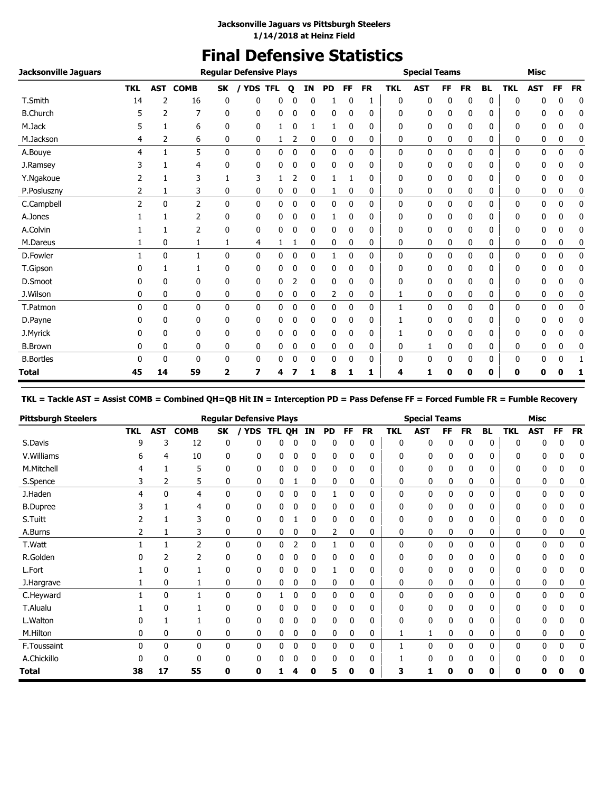### **Final Defensive Statistics**

| <b>Jacksonville Jaguars</b> |                |              |                |              | <b>Reqular Defensive Plays</b> |              |             |              |           |              |           |            | <b>Special Teams</b> |              |              |           |            | <b>Misc</b>  |             |           |
|-----------------------------|----------------|--------------|----------------|--------------|--------------------------------|--------------|-------------|--------------|-----------|--------------|-----------|------------|----------------------|--------------|--------------|-----------|------------|--------------|-------------|-----------|
|                             | <b>TKL</b>     | <b>AST</b>   | <b>COMB</b>    | <b>SK</b>    | / YDS                          | <b>TFL</b>   | О           | ΙN           | <b>PD</b> | FF           | <b>FR</b> | <b>TKL</b> | <b>AST</b>           | FF           | <b>FR</b>    | <b>BL</b> | <b>TKL</b> | <b>AST</b>   | FF          | <b>FR</b> |
| T.Smith                     | 14             | 2            | 16             | 0            | 0                              | 0            | 0           | 0            | 1         | 0            | 1         | 0          | 0                    | 0            | 0            | 0         | 0          | 0            | 0           | 0         |
| <b>B.Church</b>             |                | 2            | 7              | 0            | 0                              | 0            | 0           | 0            | 0         | 0            | 0         | 0          | 0                    | 0            | 0            | 0         | 0          | 0            | 0           | 0         |
| M.Jack                      | 5              | 1            | 6              | $\mathbf{0}$ | 0                              | 1            | 0           | 1            | 1         | 0            | 0         | 0          | 0                    | 0            | 0            | 0         | 0          | 0            | 0           | 0         |
| M.Jackson                   | 4              | 2            | 6              | 0            | 0                              | 1            | 2           | 0            | 0         | 0            | 0         | 0          | 0                    | 0            | 0            | 0         | 0          | 0            | 0           | 0         |
| A.Bouye                     | 4              | $\mathbf{1}$ | 5              | 0            | 0                              | 0            | 0           | 0            | 0         | $\mathbf{0}$ | 0         | 0          | 0                    | 0            | 0            | 0         | 0          | 0            | 0           | 0         |
| J.Ramsey                    |                | 1            | 4              | 0            | 0                              | 0            | 0           | 0            | 0         | 0            | 0         | 0          | 0                    | 0            | 0            | 0         | 0          | 0            | 0           | 0         |
| Y.Ngakoue                   | 2              | 1            | 3              | 1            | 3                              | 1            | 2           | 0            | 1         | 1            | 0         | 0          | 0                    | 0            | 0            | 0         | 0          | 0            | 0           | 0         |
| P.Posluszny                 | 2              | 1            | 3              | 0            | 0                              | 0            | 0           | 0            | 1         | 0            | 0         | 0          | 0                    | 0            | 0            | 0         | 0          | 0            | 0           | 0         |
| C.Campbell                  | $\overline{2}$ | $\mathbf{0}$ | 2              | 0            | 0                              | 0            | 0           | 0            | 0         | $\mathbf{0}$ | 0         | 0          | 0                    | 0            | 0            | 0         | 0          | 0            | 0           | 0         |
| A.Jones                     |                | 1            | 2              | 0            | 0                              | 0            | 0           | 0            |           | 0            | 0         | 0          | 0                    | 0            | 0            | 0         | 0          | 0            | 0           | 0         |
| A.Colvin                    |                | $\mathbf{1}$ | $\overline{2}$ | 0            | 0                              | 0            | 0           | 0            | 0         | 0            | 0         | 0          | 0                    | 0            | 0            | 0         | 0          | 0            | 0           | 0         |
| M.Dareus                    |                | 0            | 1              | 1            | 4                              | 1            |             | 0            | 0         | 0            | 0         | 0          | 0                    | 0            | 0            | 0         | 0          | 0            | 0           | 0         |
| D.Fowler                    |                | $\mathbf{0}$ | $\mathbf{1}$   | $\mathbf{0}$ | 0                              | $\mathbf{0}$ | 0           | $\mathbf{0}$ | 1         | $\mathbf{0}$ | 0         | 0          | 0                    | $\mathbf{0}$ | $\mathbf{0}$ | 0         | 0          | $\mathbf{0}$ | $\mathbf 0$ | 0         |
| T.Gipson                    |                | 1            |                | 0            | 0                              | 0            | 0           | 0            | 0         | 0            | 0         | 0          | 0                    | 0            | 0            | 0         | 0          | 0            | 0           | 0         |
| D.Smoot                     | 0              | $\Omega$     | 0              | 0            | 0                              | 0            | 2           | 0            | 0         | 0            | 0         | 0          | 0                    | 0            | 0            | 0         | 0          | 0            | 0           | 0         |
| J.Wilson                    | 0              | 0            | 0              | 0            | 0                              | 0            | 0           | 0            | 2         | 0            | 0         | 1          | 0                    | 0            | 0            | 0         | 0          | 0            | 0           | 0         |
| T.Patmon                    | 0              | $\mathbf{0}$ | 0              | $\mathbf{0}$ | 0                              | 0            | 0           | $\mathbf{0}$ | 0         | 0            | 0         | 1          | 0                    | $\mathbf{0}$ | 0            | 0         | 0          | $\mathbf{0}$ | 0           | 0         |
| D.Payne                     |                | 0            | 0              | 0            | 0                              | 0            | 0           | 0            | 0         | 0            | 0         |            | 0                    | 0            | 0            | 0         | 0          | 0            | 0           | 0         |
| J.Myrick                    |                | $\Omega$     | 0              | $\mathbf{0}$ | 0                              | 0            | 0           | 0            | 0         | $\Omega$     | 0         |            | 0                    | 0            | 0            | 0         | 0          | 0            | 0           | 0         |
| <b>B.Brown</b>              | 0              | 0            | 0              | 0            | 0                              | 0            | 0           | 0            | 0         | 0            | 0         | 0          | 1                    | 0            | 0            | 0         | 0          | 0            | 0           | 0         |
| <b>B.Bortles</b>            | 0              | $\mathbf{0}$ | 0              | 0            | 0                              | 0            | $\mathbf 0$ | $\mathbf{0}$ | 0         | 0            | 0         | 0          | 0                    | $\mathbf{0}$ | 0            | 0         | 0          | 0            | 0           | 1         |
| <b>Total</b>                | 45             | 14           | 59             | 2            | 7                              | 4            |             | 1            | 8         | 1            | 1         | 4          | 1                    | 0            | 0            | 0         | 0          | 0            | O           | 1         |

**TKL = Tackle AST = Assist COMB = Combined QH=QB Hit IN = Interception PD = Pass Defense FF = Forced Fumble FR = Fumble Recovery**

| <b>Pittsburgh Steelers</b> |            |              |                |              | <b>Regular Defensive Plays</b> |        |   |    |           |              |           |            | <b>Special Teams</b> |           |           |           |              | <b>Misc</b> |             |           |
|----------------------------|------------|--------------|----------------|--------------|--------------------------------|--------|---|----|-----------|--------------|-----------|------------|----------------------|-----------|-----------|-----------|--------------|-------------|-------------|-----------|
|                            | <b>TKL</b> | <b>AST</b>   | <b>COMB</b>    | SK           | <b>YDS</b>                     | TFL QH |   | IN | <b>PD</b> | <b>FF</b>    | <b>FR</b> | <b>TKL</b> | <b>AST</b>           | <b>FF</b> | <b>FR</b> | <b>BL</b> | <b>TKL</b>   | <b>AST</b>  | FF          | <b>FR</b> |
| S.Davis                    | 9          | 3            | 12             | 0            | 0                              | 0      | 0 | 0  | 0         | 0            | 0         | 0          | 0                    | 0         | 0         | 0         | 0            | 0           | 0           | 0         |
| V. Williams                | 6          | 4            | 10             | 0            | 0                              | 0      |   | 0  | 0         | 0            | 0         | 0          | 0                    | U         | 0         | 0         | 0            | 0           | 0           | 0         |
| M.Mitchell                 |            |              | 5              | 0            | 0                              | 0      |   | 0  | 0         | 0            | 0         | 0          | 0                    |           | 0         | 0         | 0            | 0           | 0           |           |
| S.Spence                   |            | 2            | 5              | 0            | 0                              | 0      |   | 0  | 0         | 0            | 0         | 0          | 0                    | 0         | 0         | 0         | 0            | 0           | 0           |           |
| J.Haden                    | 4          | $\mathbf{0}$ | 4              | 0            | $\mathbf{0}$                   | 0      | 0 | 0  |           | 0            | 0         | 0          | 0                    | 0         | 0         | 0         | $\mathbf{0}$ | 0           | $\mathbf 0$ | 0         |
| <b>B.Dupree</b>            |            |              | 4              | 0            | 0                              | 0      |   | 0  | 0         | 0            | 0         | 0          | 0                    | 0         | 0         | 0         | 0            | 0           | 0           | 0         |
| S.Tuitt                    |            |              | 3              | 0            | 0                              | 0      |   | 0  | 0         | 0            | 0         | 0          | 0                    | 0         | 0         | 0         | 0            | 0           | 0           | 0         |
| A.Burns                    |            |              | 3              | 0            | 0                              | 0      |   | 0  | 2         | 0            | 0         | 0          | 0                    | 0         | 0         | 0         | 0            | 0           | 0           |           |
| T.Watt                     |            |              | $\overline{2}$ | $\mathbf{0}$ | $\mathbf{0}$                   | 0      |   | 0  |           | $\Omega$     | 0         | 0          | 0                    | 0         | 0         | 0         | 0            | 0           | $\mathbf 0$ | 0         |
| R.Golden                   |            | 2            | 2              | 0            | 0                              | 0      | 0 | 0  | 0         | 0            | 0         | 0          | 0                    | 0         | 0         | 0         | 0            | 0           | 0           | 0         |
| L.Fort                     |            | 0            |                | 0            | 0                              | 0      | 0 | 0  |           | $\Omega$     | 0         | 0          | 0                    | U         | 0         | 0         | 0            | 0           | 0           | 0         |
| J.Hargrave                 |            | 0            |                | 0            | 0                              | 0      | 0 | 0  | 0         | 0            | 0         | 0          | 0                    | 0         | 0         | 0         | 0            | 0           | 0           |           |
| C.Heyward                  |            | $\mathbf{0}$ |                | $\mathbf{0}$ | $\mathbf{0}$                   |        | 0 | 0  | 0         | $\Omega$     | 0         | 0          | 0                    |           | 0         | 0         | $\Omega$     | 0           | 0           | 0         |
| T.Alualu                   |            | 0            |                | 0            | 0                              | 0      |   | 0  | 0         | $\Omega$     | 0         | 0          | 0                    | 0         | 0         | 0         | $\Omega$     | 0           | 0           | 0         |
| L.Walton                   |            |              |                | 0            | 0                              | 0      |   | 0  | 0         | 0            | 0         | 0          | 0                    | O         | 0         | 0         | 0            | 0           | 0           |           |
| M.Hilton                   | 0          | 0            | 0              | 0            | 0                              | 0      | 0 | 0  | 0         | 0            | 0         |            |                      | 0         | 0         | 0         | 0            | 0           | 0           | 0         |
| F.Toussaint                | 0          | $\mathbf{0}$ | 0              | 0            | 0                              | 0      | 0 | 0  | 0         | $\mathbf{0}$ | 0         |            | 0                    | 0         | 0         | 0         | $\mathbf{0}$ | 0           | 0           | 0         |
| A.Chickillo                |            | U            | <sup>0</sup>   | 0            | 0                              | 0      |   | 0  | 0         | ŋ            | 0         |            | 0                    | 0         | 0         | 0         | $\Omega$     | 0           | 0           | 0         |
| <b>Total</b>               | 38         | 17           | 55             | 0            | 0                              |        |   | 0  | 5         | 0            | 0         |            |                      | 0         | O         | 0         | 0            |             |             |           |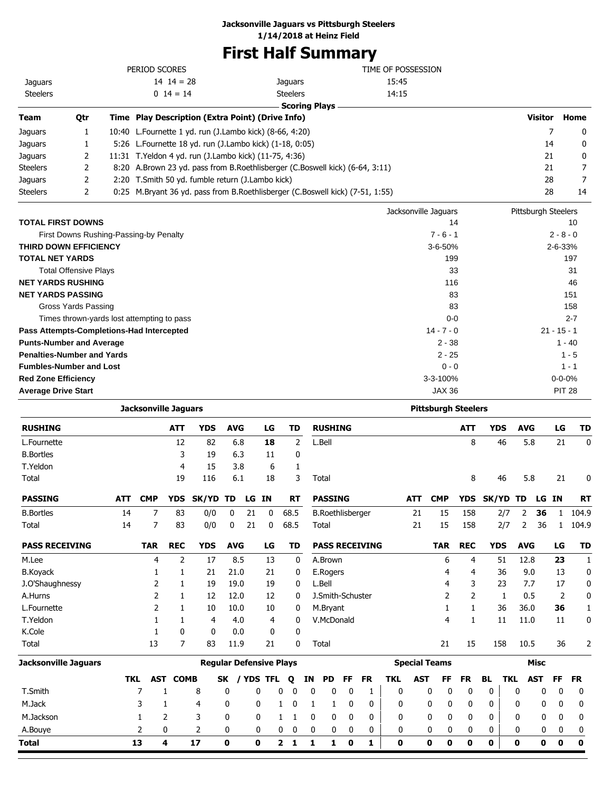### **Jacksonville Jaguars vs Pittsburgh Steelers**

**1/14/2018 at Heinz Field**

## **First Half Summary**

|                 |     | PERIOD SCORES                                             |                                                                               | TIME OF POSSESSION |                |      |
|-----------------|-----|-----------------------------------------------------------|-------------------------------------------------------------------------------|--------------------|----------------|------|
| <b>Jaquars</b>  |     | $14 \t14 = 28$                                            | Jaquars                                                                       | 15:45              |                |      |
| <b>Steelers</b> |     | $0 \t14 = 14$                                             | <b>Steelers</b>                                                               | 14:15              |                |      |
|                 |     |                                                           | <b>Scoring Plays</b>                                                          |                    |                |      |
| Team            | Qtr | Time Play Description (Extra Point) (Drive Info)          |                                                                               |                    | <b>Visitor</b> | Home |
| Jaguars         |     | 10:40 L.Fournette 1 yd. run (J.Lambo kick) (8-66, 4:20)   |                                                                               |                    |                | 0    |
| Jaguars         |     | 5:26 L. Fournette 18 yd. run (J. Lambo kick) (1-18, 0:05) |                                                                               |                    | 14             | 0    |
| Jaquars         | 2   | 11:31 T. Yeldon 4 yd. run (J. Lambo kick) (11-75, 4:36)   |                                                                               |                    | 21             | 0    |
| Steelers        |     |                                                           | 8:20 A.Brown 23 yd. pass from B.Roethlisberger (C.Boswell kick) (6-64, 3:11)  |                    | 21             | 7    |
| Jaquars         | 2   | 2:20 T.Smith 50 yd. fumble return (J.Lambo kick)          |                                                                               |                    | 28             | 7    |
| Steelers        | 2   |                                                           | 0:25 M.Bryant 36 yd. pass from B.Roethlisberger (C.Boswell kick) (7-51, 1:55) |                    | 28             | 14   |
|                 |     |                                                           |                                                                               |                    |                |      |

|                                            | Jacksonville Jaguars | Pittsburgh Steelers |
|--------------------------------------------|----------------------|---------------------|
| <b>TOTAL FIRST DOWNS</b>                   | 14                   | 10                  |
| First Downs Rushing-Passing-by Penalty     | $7 - 6 - 1$          | $2 - 8 - 0$         |
| <b>THIRD DOWN EFFICIENCY</b>               | $3 - 6 - 50%$        | $2 - 6 - 33%$       |
| <b>TOTAL NET YARDS</b>                     | 199                  | 197                 |
| <b>Total Offensive Plays</b>               | 33                   | 31                  |
| <b>NET YARDS RUSHING</b>                   | 116                  | 46                  |
| <b>NET YARDS PASSING</b>                   | 83                   | 151                 |
| Gross Yards Passing                        | 83                   | 158                 |
| Times thrown-yards lost attempting to pass | $0 - 0$              | $2 - 7$             |
| Pass Attempts-Completions-Had Intercepted  | $14 - 7 - 0$         | $21 - 15 - 1$       |
| <b>Punts-Number and Average</b>            | $2 - 38$             | $1 - 40$            |
| <b>Penalties-Number and Yards</b>          | $2 - 25$             | $1 - 5$             |
| <b>Fumbles-Number and Lost</b>             | $0 - 0$              | $1 - 1$             |
| <b>Red Zone Efficiency</b>                 | $3 - 3 - 100%$       | $0 - 0 - 0%$        |
| <b>Average Drive Start</b>                 | JAX 36               | <b>PIT 28</b>       |

|                             | <b>Jacksonville Jaguars</b> |                |                 |                                |            |    |           |      |           |             |                         |           |                       |             |            |                      | <b>Pittsburgh Steelers</b> |              |            |                |             |    |              |
|-----------------------------|-----------------------------|----------------|-----------------|--------------------------------|------------|----|-----------|------|-----------|-------------|-------------------------|-----------|-----------------------|-------------|------------|----------------------|----------------------------|--------------|------------|----------------|-------------|----|--------------|
| <b>RUSHING</b>              |                             |                | <b>ATT</b>      | <b>YDS</b>                     | <b>AVG</b> |    | LG        |      | TD        |             | <b>RUSHING</b>          |           |                       |             |            |                      | <b>ATT</b>                 |              | <b>YDS</b> | <b>AVG</b>     |             | LG | <b>TD</b>    |
| L.Fournette                 |                             |                | 12              | 82                             | 6.8        |    | 18        |      | 2         |             | L.Bell                  |           |                       |             |            |                      | 8                          |              | 46         | 5.8            |             | 21 | 0            |
| <b>B.Bortles</b>            |                             |                | 3               | 19                             | 6.3        |    | 11        |      | 0         |             |                         |           |                       |             |            |                      |                            |              |            |                |             |    |              |
| T.Yeldon                    |                             |                | 4               | 15                             | 3.8        |    | 6         |      | 1         |             |                         |           |                       |             |            |                      |                            |              |            |                |             |    |              |
| Total                       |                             |                | 19              | 116                            | 6.1        |    | 18        |      | 3         |             | Total                   |           |                       |             |            |                      | 8                          |              | 46         | 5.8            |             | 21 | 0            |
| <b>PASSING</b>              | <b>ATT</b>                  | <b>CMP</b>     | <b>YDS</b>      | SK/YD                          | <b>TD</b>  |    | LG IN     |      | <b>RT</b> |             | <b>PASSING</b>          |           |                       |             | <b>ATT</b> | <b>CMP</b>           | <b>YDS</b>                 | <b>SK/YD</b> |            | TD             | LG IN       |    | <b>RT</b>    |
| <b>B.Bortles</b>            | 14                          | 7              | 83              | 0/0                            | 0          | 21 | 0         | 68.5 |           |             | <b>B.Roethlisberger</b> |           |                       |             | 21         | 15                   | 158                        |              | 2/7        | 2              | 36          | 1  | 104.9        |
| Total                       | 14                          | $\overline{7}$ | 83              | 0/0                            | 0          | 21 | 0         | 68.5 |           |             | Total                   |           |                       |             | 21         | 15                   | 158                        |              | 2/7        | $\overline{2}$ | 36          | 1  | 104.9        |
| <b>PASS RECEIVING</b>       |                             | <b>TAR</b>     | <b>REC</b>      | <b>YDS</b>                     | <b>AVG</b> |    | LG        |      | TD        |             |                         |           | <b>PASS RECEIVING</b> |             |            | <b>TAR</b>           | <b>REC</b>                 |              | <b>YDS</b> | <b>AVG</b>     |             | LG | <b>TD</b>    |
| M.Lee                       |                             | 4              | 2               | 17                             | 8.5        |    | 13        |      | 0         |             | A.Brown                 |           |                       |             |            | 6                    | 4                          |              | 51         | 12.8           |             | 23 | $\mathbf{1}$ |
| <b>B.Koyack</b>             |                             | 1              | 1               | 21                             | 21.0       |    | 21        |      | 0         |             | E.Rogers                |           |                       |             |            | 4                    | 4                          |              | 36         | 9.0            |             | 13 | 0            |
| J.O'Shaughnessy             |                             | 2              | 1               | 19                             | 19.0       |    | 19        |      | 0         |             | L.Bell                  |           |                       |             |            | 4                    | 3                          |              | 23         | 7.7            |             | 17 | 0            |
| A.Hurns                     |                             | 2              | 1               | 12                             | 12.0       |    | 12        |      | 0         |             | J.Smith-Schuster        |           |                       |             |            | 2                    | $\overline{2}$             |              | 1          | 0.5            |             | 2  | 0            |
| L.Fournette                 |                             | 2              | 1               | 10                             | 10.0       |    | 10        |      | 0         |             | M.Bryant                |           |                       |             |            | 1                    | 1                          |              | 36         | 36.0           |             | 36 | $\mathbf{1}$ |
| T.Yeldon                    |                             | 1              | 1               | 4                              | 4.0        |    | 4         |      | 0         |             | V.McDonald              |           |                       |             |            | 4                    | 1                          |              | 11         | 11.0           |             | 11 | 0            |
| K.Cole                      |                             | 1              | $\mathbf{0}$    | 0                              | 0.0        |    | 0         |      | 0         |             |                         |           |                       |             |            |                      |                            |              |            |                |             |    |              |
| Total                       |                             | 13             | 7               | 83                             | 11.9       |    | 21        |      | 0         |             | Total                   |           |                       |             |            | 21                   | 15                         |              | 158        | 10.5           |             | 36 | 2            |
| <b>Jacksonville Jaguars</b> |                             |                |                 | <b>Reqular Defensive Plays</b> |            |    |           |      |           |             |                         |           |                       |             |            | <b>Special Teams</b> |                            |              |            |                | <b>Misc</b> |    |              |
|                             | <b>TKL</b>                  |                | <b>AST COMB</b> |                                | <b>SK</b>  |    | / YDS TFL | Q    | ΙN        |             | <b>PD</b>               | <b>FF</b> | <b>FR</b>             | <b>TKL</b>  | <b>AST</b> | FF                   | <b>FR</b>                  | <b>BL</b>    | <b>TKL</b> |                | <b>AST</b>  | FF | <b>FR</b>    |
| T.Smith                     |                             | 7              |                 | 8                              | 0          |    | 0         | 0    | 0         | 0           | 0                       | 0         |                       | $\mathbf 0$ |            | 0<br>0               | 0                          | 0            |            | 0              | 0           | 0  | 0            |
| M.Jack                      |                             | 3              | 1               | 4                              | 0          |    | 0         | 1    | 0         | 1           | 1                       | 0         | 0                     | 0           |            | 0                    | 0<br>$\mathbf 0$           | 0            |            | 0              | 0           | 0  | 0            |
| M.Jackson                   |                             |                | 2               | 3                              | 0          |    | 0         | 1    |           | 0           | 0                       | 0         | 0                     | 0           |            | 0                    | 0<br>0                     | 0            |            | 0              | 0           | 0  | 0            |
| A.Bouye                     |                             | 2              | 0               | 2                              | 0          |    | 0         | 0    | 0         | $\mathbf 0$ | 0                       | 0         | 0                     | 0           |            | 0                    | 0<br>0                     | 0            |            | 0              | 0           | 0  | 0            |
| <b>Total</b>                |                             | 13             | 4               | 17                             | 0          |    | 0         | 2    | 1         | 1           | 1                       | 0         | 1                     | 0           |            | $\mathbf 0$<br>0     | 0                          | 0            |            | 0              | 0           | 0  | 0            |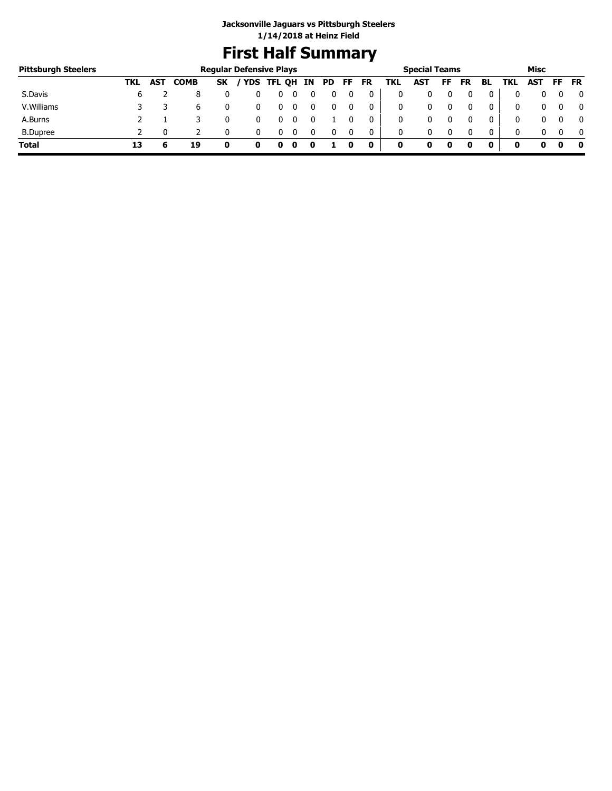# **First Half Summary**

| <b>Pittsburgh Steelers</b> |     |            |             |           | <b>Regular Defensive Plays</b> |   |    |     |    |           |     | <b>Special Teams</b> |    |    |              |     | Misc       |    |              |
|----------------------------|-----|------------|-------------|-----------|--------------------------------|---|----|-----|----|-----------|-----|----------------------|----|----|--------------|-----|------------|----|--------------|
|                            | TKL | <b>AST</b> | <b>COMB</b> | <b>SK</b> | / YDS TFL QH                   |   | IN | PD. | FF | <b>FR</b> | TKL | <b>AST</b>           | FF | FR | BL           | TKL | <b>AST</b> | FF | <b>FR</b>    |
| S.Davis                    | 6   |            |             |           |                                |   |    |     |    |           |     |                      |    |    |              |     |            |    | 0            |
| V. Williams                |     |            | b           |           |                                | υ |    |     |    |           | 0   |                      |    |    | 0            |     |            |    | $\mathbf{0}$ |
| A.Burns                    |     |            |             |           |                                |   |    |     |    |           | 0   |                      |    |    |              | 0   |            |    | 0            |
| <b>B.Dupree</b>            |     |            |             |           |                                | U |    |     |    |           | 0   | 0                    |    |    | $\mathbf{0}$ |     |            |    | $\Omega$     |
| <b>Total</b>               | 13  |            | 19          | 0         |                                |   |    |     |    | 0         | 0   |                      | 0  |    |              |     | o          |    | - 0          |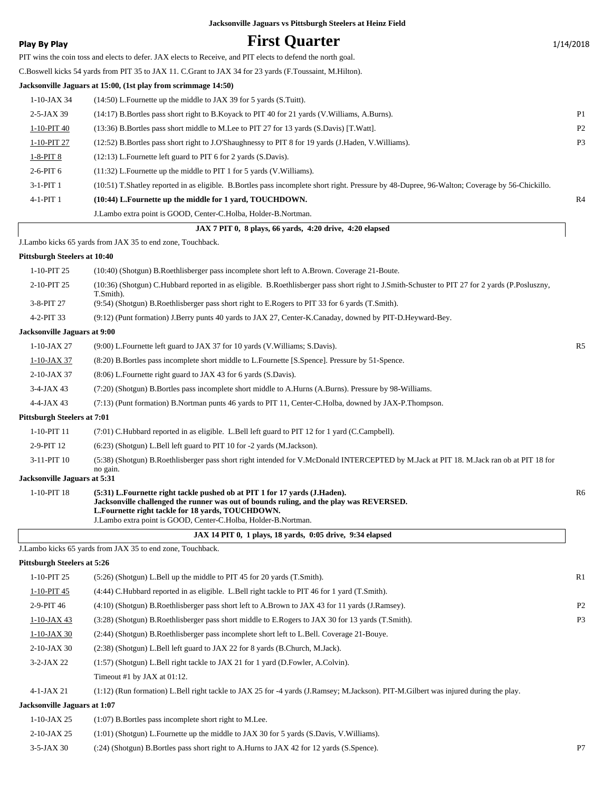#### **Play By Play First Quarter** 1/14/2018 PIT wins the coin toss and elects to defer. JAX elects to Receive, and PIT elects to defend the north goal. C.Boswell kicks 54 yards from PIT 35 to JAX 11. C.Grant to JAX 34 for 23 yards (F.Toussaint, M.Hilton). **Jacksonville Jaguars at 15:00, (1st play from scrimmage 14:50)** 1-10-JAX 34 (14:50) L.Fournette up the middle to JAX 39 for 5 yards (S.Tuitt). 2-5-JAX 39 (14:17) B.Bortles pass short right to B.Koyack to PIT 40 for 21 yards (V.Williams, A.Burns). P1 1-10-PIT 40 (13:36) B.Bortles pass short middle to M.Lee to PIT 27 for 13 yards (S.Davis) [T.Watt]. P2 1-10-PIT 27 (12:52) B.Bortles pass short right to J.O'Shaughnessy to PIT 8 for 19 yards (J.Haden, V.Williams). P3 1-8-PIT 8 (12:13) L.Fournette left guard to PIT 6 for 2 yards (S.Davis). 2-6-PIT 6 (11:32) L.Fournette up the middle to PIT 1 for 5 yards (V.Williams). 3-1-PIT 1 (10:51) T.Shatley reported in as eligible. B.Bortles pass incomplete short right. Pressure by 48-Dupree, 96-Walton; Coverage by 56-Chickillo. 4-1-PIT 1 **(10:44) L.Fournette up the middle for 1 yard, TOUCHDOWN.** R4 J.Lambo extra point is GOOD, Center-C.Holba, Holder-B.Nortman.  **JAX 7 PIT 0, 8 plays, 66 yards, 4:20 drive, 4:20 elapsed** J.Lambo kicks 65 yards from JAX 35 to end zone, Touchback. **Pittsburgh Steelers at 10:40** 1-10-PIT 25 (10:40) (Shotgun) B.Roethlisberger pass incomplete short left to A.Brown. Coverage 21-Boute. (10:36) (Shotgun) C.Hubbard reported in as eligible. B.Roethlisberger pass short right to J.Smith-Schuster to PIT 27 for 2 yards (P.Posluszny, T.Smith). 2-10-PIT 25 3-8-PIT 27 (9:54) (Shotgun) B.Roethlisberger pass short right to E.Rogers to PIT 33 for 6 yards (T.Smith). 4-2-PIT 33 (9:12) (Punt formation) J.Berry punts 40 yards to JAX 27, Center-K.Canaday, downed by PIT-D.Heyward-Bey. **Jacksonville Jaguars at 9:00** 1-10-JAX 27 (9:00) L.Fournette left guard to JAX 37 for 10 yards (V.Williams; S.Davis). R5 1-10-JAX 37 (8:20) B.Bortles pass incomplete short middle to L.Fournette [S.Spence]. Pressure by 51-Spence. 2-10-JAX 37 (8:06) L.Fournette right guard to JAX 43 for 6 yards (S.Davis). 3-4-JAX 43 (7:20) (Shotgun) B.Bortles pass incomplete short middle to A.Hurns (A.Burns). Pressure by 98-Williams. 4-4-JAX 43 (7:13) (Punt formation) B.Nortman punts 46 yards to PIT 11, Center-C.Holba, downed by JAX-P.Thompson. **Pittsburgh Steelers at 7:01** 1-10-PIT 11 (7:01) C.Hubbard reported in as eligible. L.Bell left guard to PIT 12 for 1 yard (C.Campbell). 2-9-PIT 12 (6:23) (Shotgun) L.Bell left guard to PIT 10 for -2 yards (M.Jackson). (5:38) (Shotgun) B.Roethlisberger pass short right intended for V.McDonald INTERCEPTED by M.Jack at PIT 18. M.Jack ran ob at PIT 18 for no gain. 3-11-PIT 10 **Jacksonville Jaguars at 5:31** 1-10-PIT 18 (5:31) L.Fournette right tackle pushed ob at PIT 1 for 17 yards (J.Haden). **Jacksonville challenged the runner was out of bounds ruling, and the play was REVERSED. L.Fournette right tackle for 18 yards, TOUCHDOWN.** J.Lambo extra point is GOOD, Center-C.Holba, Holder-B.Nortman.

 **JAX 14 PIT 0, 1 plays, 18 yards, 0:05 drive, 9:34 elapsed** J.Lambo kicks 65 yards from JAX 35 to end zone, Touchback. **Pittsburgh Steelers at 5:26** 1-10 PIT 25  $(5.26)$  (Shotgun) L.Bell up the middle to PIT 45 for 20 years (T.Smith).

| $1 - 10 - 1112$              | $(3.20)$ (Shotgun) E.Ben up the findule to FIT 43 for 20 yards (T.Shinti).                                                          | TZ T           |
|------------------------------|-------------------------------------------------------------------------------------------------------------------------------------|----------------|
| 1-10-PIT 45                  | (4:44) C.Hubbard reported in as eligible. L.Bell right tackle to PIT 46 for 1 yard (T.Smith).                                       |                |
| $2-9-PIT46$                  | (4:10) (Shotgun) B.Roethlisberger pass short left to A.Brown to JAX 43 for 11 yards (J.Ramsey).                                     | P <sub>2</sub> |
| $1-10$ -JAX 43               | (3:28) (Shotgun) B.Roethlisberger pass short middle to E.Rogers to JAX 30 for 13 yards (T.Smith).                                   | P <sub>3</sub> |
| $1-10$ -JAX 30               | (2:44) (Shotgun) B.Roethlisberger pass incomplete short left to L.Bell. Coverage 21-Bouve.                                          |                |
| $2-10$ -JAX 30               | (2:38) (Shotgun) L.Bell left guard to JAX 22 for 8 yards (B.Church, M.Jack).                                                        |                |
| $3-2-JAX$ 22                 | $(1:57)$ (Shotgun) L.Bell right tackle to JAX 21 for 1 yard (D.Fowler, A.Colvin).                                                   |                |
|                              | Timeout #1 by JAX at $01:12$ .                                                                                                      |                |
| $4-1-JAX$ 21                 | (1:12) (Run formation) L.Bell right tackle to JAX 25 for -4 yards (J.Ramsey; M.Jackson). PIT-M.Gilbert was injured during the play. |                |
| Jacksonville Jaguars at 1:07 |                                                                                                                                     |                |
| $1-10$ -JAX 25               | $(1:07)$ B. Bortles pass incomplete short right to M. Lee.                                                                          |                |

2-10-JAX 25 (1:01) (Shotgun) L.Fournette up the middle to JAX 30 for 5 yards (S.Davis, V.Williams).

3-5-JAX 30 (:24) (Shotgun) B.Bortles pass short right to A.Hurns to JAX 42 for 12 yards (S.Spence). P7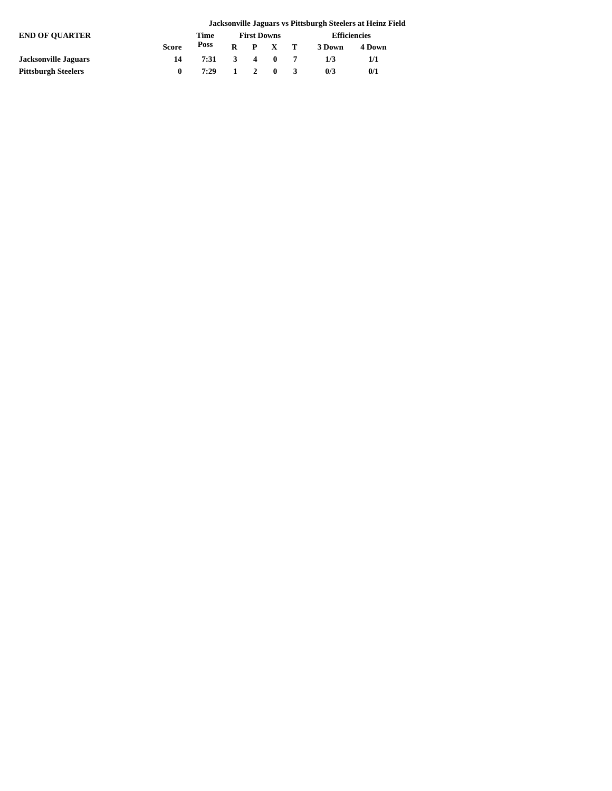|                             |              |              |                     |  |                     | Jacksonville Jaguars vs Pittsburgh Steelers at Heinz Field |  |
|-----------------------------|--------------|--------------|---------------------|--|---------------------|------------------------------------------------------------|--|
| <b>END OF OUARTER</b>       |              | Time         | <b>First Downs</b>  |  | <b>Efficiencies</b> |                                                            |  |
|                             | <b>Score</b> | Poss         |                     |  | R P X T 3Down       | 4 Down                                                     |  |
| <b>Jacksonville Jaguars</b> | 14           | 7:31         | $3 \quad 4 \quad 0$ |  | 1/3                 | 1/1                                                        |  |
| <b>Pittsburgh Steelers</b>  | 0            | 7:29 1 2 0 3 |                     |  | 0/3                 | 0/1                                                        |  |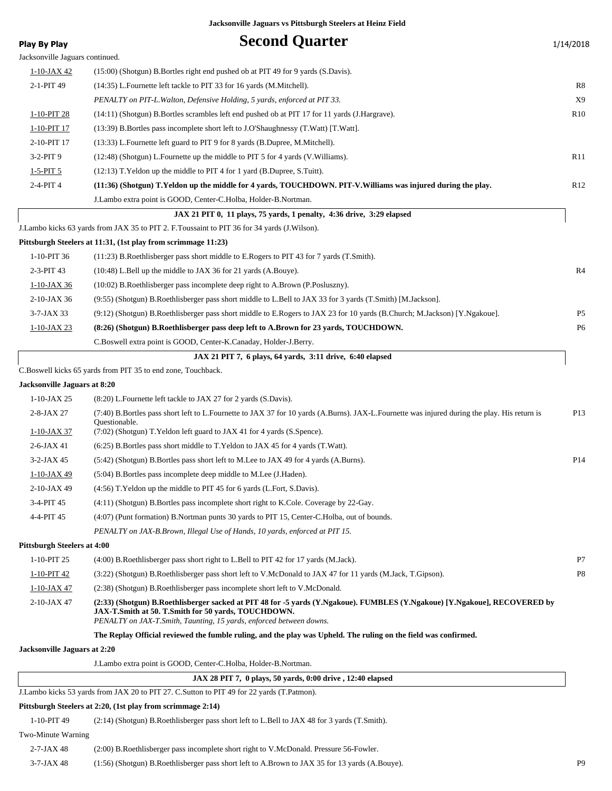| Play By Play                       | <b>Second Quarter</b>                                                                                                                                                                                                                     | 1/14/2018       |
|------------------------------------|-------------------------------------------------------------------------------------------------------------------------------------------------------------------------------------------------------------------------------------------|-----------------|
| Jacksonville Jaguars continued.    |                                                                                                                                                                                                                                           |                 |
| <u>1-10-JAX 42</u>                 | (15:00) (Shotgun) B.Bortles right end pushed ob at PIT 49 for 9 yards (S.Davis).                                                                                                                                                          |                 |
| 2-1-PIT 49                         | (14:35) L.Fournette left tackle to PIT 33 for 16 yards (M.Mitchell).                                                                                                                                                                      | R8              |
|                                    | PENALTY on PIT-L. Walton, Defensive Holding, 5 yards, enforced at PIT 33.                                                                                                                                                                 | X9              |
| 1-10-PIT 28                        | (14:11) (Shotgun) B.Bortles scrambles left end pushed ob at PIT 17 for 11 yards (J.Hargrave).                                                                                                                                             | R <sub>10</sub> |
| 1-10-PIT 17                        | (13:39) B.Bortles pass incomplete short left to J.O'Shaughnessy (T.Watt) [T.Watt].                                                                                                                                                        |                 |
| 2-10-PIT 17                        | (13:33) L. Fournette left guard to PIT 9 for 8 yards (B. Dupree, M. Mitchell).                                                                                                                                                            |                 |
| $3-2-PIT9$                         | (12:48) (Shotgun) L. Fournette up the middle to PIT 5 for 4 yards (V. Williams).                                                                                                                                                          | R11             |
| $1 - 5 - PIT$ 5                    | $(12:13)$ T. Yeldon up the middle to PIT 4 for 1 yard (B. Dupree, S. Tuitt).                                                                                                                                                              |                 |
| 2-4-PIT 4                          | (11:36) (Shotgun) T.Yeldon up the middle for 4 yards, TOUCHDOWN. PIT-V.Williams was injured during the play.                                                                                                                              | R12             |
|                                    | J.Lambo extra point is GOOD, Center-C.Holba, Holder-B.Nortman.                                                                                                                                                                            |                 |
|                                    | JAX 21 PIT 0, 11 plays, 75 yards, 1 penalty, 4:36 drive, 3:29 elapsed                                                                                                                                                                     |                 |
|                                    | J.Lambo kicks 63 yards from JAX 35 to PIT 2. F.Toussaint to PIT 36 for 34 yards (J.Wilson).                                                                                                                                               |                 |
|                                    | Pittsburgh Steelers at 11:31, (1st play from scrimmage 11:23)                                                                                                                                                                             |                 |
| 1-10-PIT 36                        | (11:23) B.Roethlisberger pass short middle to E.Rogers to PIT 43 for 7 yards (T.Smith).                                                                                                                                                   |                 |
| 2-3-PIT 43                         | (10:48) L.Bell up the middle to JAX 36 for 21 yards (A.Bouye).                                                                                                                                                                            | R4              |
| $1-10-JAX36$                       | (10:02) B.Roethlisberger pass incomplete deep right to A.Brown (P.Posluszny).                                                                                                                                                             |                 |
| $2-10$ -JAX 36                     | (9.55) (Shotgun) B.Roethlisberger pass short middle to L.Bell to JAX 33 for 3 yards (T.Smith) [M.Jackson].                                                                                                                                |                 |
| $3-7$ -JAX 33                      | (9:12) (Shotgun) B.Roethlisberger pass short middle to E.Rogers to JAX 23 for 10 yards (B.Church; M.Jackson) [Y.Ngakoue].                                                                                                                 | P <sub>5</sub>  |
| 1-10-JAX 23                        | (8:26) (Shotgun) B.Roethlisberger pass deep left to A.Brown for 23 yards, TOUCHDOWN.                                                                                                                                                      | P <sub>6</sub>  |
|                                    | C.Boswell extra point is GOOD, Center-K.Canaday, Holder-J.Berry.                                                                                                                                                                          |                 |
|                                    | JAX 21 PIT 7, 6 plays, 64 yards, 3:11 drive, 6:40 elapsed                                                                                                                                                                                 |                 |
|                                    | C.Boswell kicks 65 yards from PIT 35 to end zone, Touchback.                                                                                                                                                                              |                 |
| Jacksonville Jaguars at 8:20       |                                                                                                                                                                                                                                           |                 |
| $1-10-JAX 25$                      | (8:20) L.Fournette left tackle to JAX 27 for 2 yards (S.Davis).                                                                                                                                                                           |                 |
| 2-8-JAX 27<br>1-10-JAX 37          | (7:40) B.Bortles pass short left to L.Fournette to JAX 37 for 10 yards (A.Burns). JAX-L.Fournette was injured during the play. His return is<br>Questionable.<br>(7:02) (Shotgun) T. Yeldon left guard to JAX 41 for 4 yards (S. Spence). | P13             |
| $2-6$ -JAX 41                      | $(6:25)$ B. Bortles pass short middle to T. Yeldon to JAX 45 for 4 yards (T. Watt).                                                                                                                                                       |                 |
| 3-2-JAX 45                         | (5:42) (Shotgun) B.Bortles pass short left to M.Lee to JAX 49 for 4 yards (A.Burns).                                                                                                                                                      | P <sub>14</sub> |
| 1-10-JAX 49                        | (5:04) B. Bortles pass incomplete deep middle to M. Lee (J. Haden).                                                                                                                                                                       |                 |
| 2-10-JAX 49                        | $(4:56)$ T. Yeldon up the middle to PIT 45 for 6 yards (L. Fort, S. Davis).                                                                                                                                                               |                 |
| 3-4-PIT 45                         | $(4:11)$ (Shotgun) B. Bortles pass incomplete short right to K. Cole. Coverage by 22-Gay.                                                                                                                                                 |                 |
| 4-4-PIT 45                         | (4:07) (Punt formation) B.Nortman punts 30 yards to PIT 15, Center-C.Holba, out of bounds.                                                                                                                                                |                 |
|                                    | PENALTY on JAX-B.Brown, Illegal Use of Hands, 10 yards, enforced at PIT 15.                                                                                                                                                               |                 |
| <b>Pittsburgh Steelers at 4:00</b> |                                                                                                                                                                                                                                           |                 |
| 1-10-PIT 25                        | (4:00) B.Roethlisberger pass short right to L.Bell to PIT 42 for 17 yards (M.Jack).                                                                                                                                                       | P7              |
| $1-10-PIT$ 42                      | (3:22) (Shotgun) B.Roethlisberger pass short left to V.McDonald to JAX 47 for 11 yards (M.Jack, T.Gipson).                                                                                                                                | P8              |
| $1-10$ -JAX 47                     | (2:38) (Shotgun) B.Roethlisberger pass incomplete short left to V.McDonald.                                                                                                                                                               |                 |
| 2-10-JAX 47                        | (2:33) (Shotgun) B.Roethlisberger sacked at PIT 48 for -5 yards (Y.Ngakoue). FUMBLES (Y.Ngakoue) [Y.Ngakoue], RECOVERED by                                                                                                                |                 |
|                                    | JAX-T.Smith at 50. T.Smith for 50 yards, TOUCHDOWN.<br>PENALTY on JAX-T.Smith, Taunting, 15 yards, enforced between downs.                                                                                                                |                 |
|                                    | The Replay Official reviewed the fumble ruling, and the play was Upheld. The ruling on the field was confirmed.                                                                                                                           |                 |
| Jacksonville Jaguars at 2:20       |                                                                                                                                                                                                                                           |                 |
|                                    | J. Lambo extra point is GOOD, Center-C. Holba, Holder-B. Nortman.                                                                                                                                                                         |                 |
|                                    | JAX 28 PIT 7, 0 plays, 50 yards, 0:00 drive, 12:40 elapsed                                                                                                                                                                                |                 |
|                                    | J.Lambo kicks 53 yards from JAX 20 to PIT 27. C.Sutton to PIT 49 for 22 yards (T.Patmon).                                                                                                                                                 |                 |
|                                    | Pittsburgh Steelers at 2:20, (1st play from scrimmage 2:14)                                                                                                                                                                               |                 |
| 1-10-PIT 49                        | (2:14) (Shotgun) B.Roethlisberger pass short left to L.Bell to JAX 48 for 3 yards (T.Smith).                                                                                                                                              |                 |

#### Two-Minute Warning

| 2-7-JAX 48 | (2:00) B.Roethlisberger pass incomplete short right to V.McDonald. Pressure 56-Fowler.         |    |
|------------|------------------------------------------------------------------------------------------------|----|
| 3-7-JAX 48 | (1:56) (Shotgun) B.Roethlisberger pass short left to A.Brown to JAX 35 for 13 yards (A.Bouye). | pq |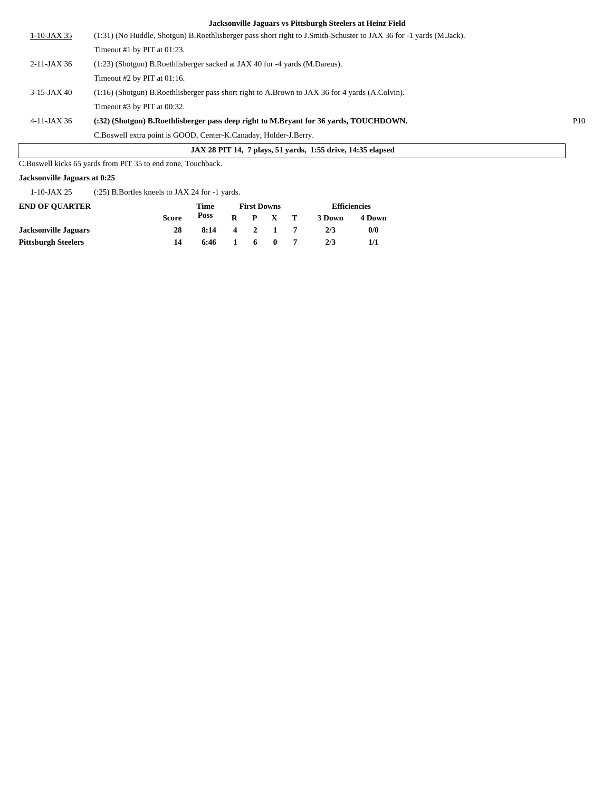| JAX 28 PIT 14, 7 plays, 51 yards, 1:55 drive, 14:35 elapsed |                                                                                                                    |     |  |  |  |
|-------------------------------------------------------------|--------------------------------------------------------------------------------------------------------------------|-----|--|--|--|
|                                                             | C.Boswell extra point is GOOD, Center-K.Canaday, Holder-J.Berry.                                                   |     |  |  |  |
| 4-11-JAX 36                                                 | (:32) (Shotgun) B.Roethlisberger pass deep right to M.Bryant for 36 yards, TOUCHDOWN.                              | P10 |  |  |  |
|                                                             | Timeout $#3$ by PIT at 00:32.                                                                                      |     |  |  |  |
| $3-15$ -JAX 40                                              | $(1:16)$ (Shotgun) B. Roethlisberger pass short right to A. Brown to JAX 36 for 4 yards (A. Colvin).               |     |  |  |  |
|                                                             | Timeout #2 by PIT at $01:16$ .                                                                                     |     |  |  |  |
| $2-11-JAX36$                                                | $(1:23)$ (Shotgun) B.Roethlisberger sacked at JAX 40 for -4 yards (M.Dareus).                                      |     |  |  |  |
|                                                             | Timeout #1 by PIT at $01:23$ .                                                                                     |     |  |  |  |
| $1-10-JAX35$                                                | (1:31) (No Huddle, Shotgun) B.Roethlisberger pass short right to J.Smith-Schuster to JAX 36 for -1 yards (M.Jack). |     |  |  |  |
|                                                             |                                                                                                                    |     |  |  |  |

C.Boswell kicks 65 yards from PIT 35 to end zone, Touchback.

#### **Jacksonville Jaguars at 0:25**

1-10-JAX 25 (:25) B.Bortles kneels to JAX 24 for -1 yards.

| <b>END OF OUARTER</b>      |              | Time |   | <b>First Downs</b> | <b>Efficiencies</b> |        |  |
|----------------------------|--------------|------|---|--------------------|---------------------|--------|--|
|                            | <b>Score</b> | Poss |   | $R$ $P$ $X$ $T$    | 3 Down              | 4 Down |  |
| Jacksonville Jaguars       | 28           | 8:14 | 4 | 2 1                | 2/3                 | 0/0    |  |
| <b>Pittsburgh Steelers</b> | 14           | 6:46 |   | 60                 | 2/3                 | 1/1    |  |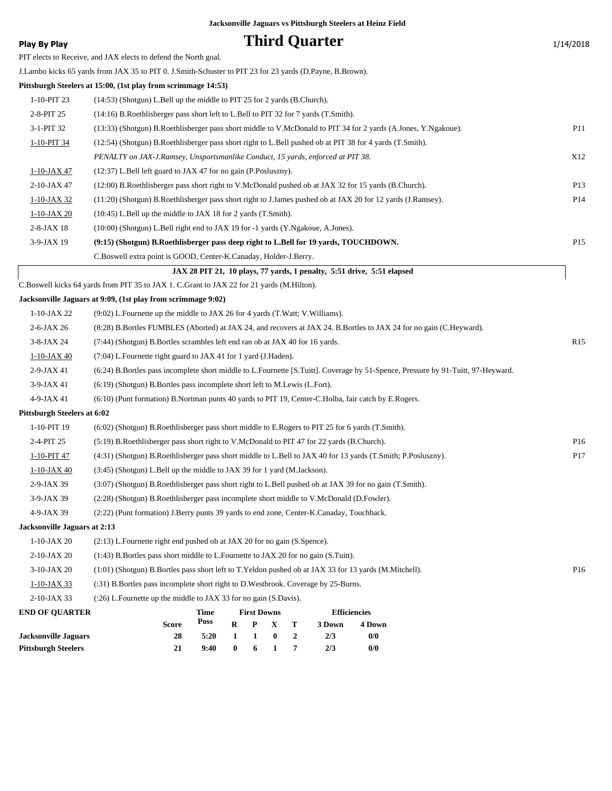| Play By Play                       |                                                                                                              |                                                                              |   |                    |                  |                  | <b>Third Quarter</b> |                                                                                                                                  | 1/14/2018       |
|------------------------------------|--------------------------------------------------------------------------------------------------------------|------------------------------------------------------------------------------|---|--------------------|------------------|------------------|----------------------|----------------------------------------------------------------------------------------------------------------------------------|-----------------|
|                                    | PIT elects to Receive, and JAX elects to defend the North goal.                                              |                                                                              |   |                    |                  |                  |                      |                                                                                                                                  |                 |
|                                    | J.Lambo kicks 65 yards from JAX 35 to PIT 0. J.Smith-Schuster to PIT 23 for 23 yards (D.Payne, B.Brown).     |                                                                              |   |                    |                  |                  |                      |                                                                                                                                  |                 |
|                                    | Pittsburgh Steelers at 15:00, (1st play from scrimmage 14:53)                                                |                                                                              |   |                    |                  |                  |                      |                                                                                                                                  |                 |
| 1-10-PIT 23                        | (14:53) (Shotgun) L.Bell up the middle to PIT 25 for 2 yards (B.Church).                                     |                                                                              |   |                    |                  |                  |                      |                                                                                                                                  |                 |
| 2-8-PIT 25                         | (14:16) B.Roethlisberger pass short left to L.Bell to PIT 32 for 7 yards (T.Smith).                          |                                                                              |   |                    |                  |                  |                      |                                                                                                                                  |                 |
| 3-1-PIT 32                         |                                                                                                              |                                                                              |   |                    |                  |                  |                      | (13:33) (Shotgun) B.Roethlisberger pass short middle to V.McDonald to PIT 34 for 2 yards (A.Jones, Y.Ngakoue).                   | P <sub>11</sub> |
| 1-10-PIT 34                        | (12:54) (Shotgun) B.Roethlisberger pass short right to L.Bell pushed ob at PIT 38 for 4 yards (T.Smith).     |                                                                              |   |                    |                  |                  |                      |                                                                                                                                  |                 |
|                                    | PENALTY on JAX-J.Ramsey, Unsportsmanlike Conduct, 15 yards, enforced at PIT 38.                              |                                                                              |   |                    |                  |                  |                      |                                                                                                                                  | X12             |
| 1-10-JAX 47                        | $(12:37)$ L.Bell left guard to JAX 47 for no gain (P.Posluszny).                                             |                                                                              |   |                    |                  |                  |                      |                                                                                                                                  |                 |
| 2-10-JAX 47                        | (12:00) B.Roethlisberger pass short right to V.McDonald pushed ob at JAX 32 for 15 yards (B.Church).         |                                                                              |   |                    |                  |                  |                      |                                                                                                                                  | P <sub>13</sub> |
| $1-10$ -JAX 32                     | (11:20) (Shotgun) B.Roethlisberger pass short right to J.James pushed ob at JAX 20 for 12 yards (J.Ramsey).  |                                                                              |   |                    |                  |                  |                      |                                                                                                                                  | P14             |
| 1-10-JAX 20                        | (10:45) L.Bell up the middle to JAX 18 for 2 yards (T.Smith).                                                |                                                                              |   |                    |                  |                  |                      |                                                                                                                                  |                 |
| $2-8-JAX$ 18                       | (10:00) (Shotgun) L.Bell right end to JAX 19 for -1 yards (Y.Ngakoue, A.Jones).                              |                                                                              |   |                    |                  |                  |                      |                                                                                                                                  |                 |
| 3-9-JAX 19                         | (9:15) (Shotgun) B.Roethlisberger pass deep right to L.Bell for 19 yards, TOUCHDOWN.                         |                                                                              |   |                    |                  |                  |                      |                                                                                                                                  | P <sub>15</sub> |
|                                    | C.Boswell extra point is GOOD, Center-K.Canaday, Holder-J.Berry.                                             |                                                                              |   |                    |                  |                  |                      |                                                                                                                                  |                 |
|                                    |                                                                                                              |                                                                              |   |                    |                  |                  |                      | JAX 28 PIT 21, 10 plays, 77 yards, 1 penalty, 5:51 drive, 5:51 elapsed                                                           |                 |
|                                    | C.Boswell kicks 64 yards from PIT 35 to JAX 1. C.Grant to JAX 22 for 21 yards (M.Hilton).                    |                                                                              |   |                    |                  |                  |                      |                                                                                                                                  |                 |
|                                    | Jacksonville Jaguars at 9:09, (1st play from scrimmage 9:02)                                                 |                                                                              |   |                    |                  |                  |                      |                                                                                                                                  |                 |
| $1-10-JAX 22$                      | $(9.02)$ L. Fournette up the middle to JAX 26 for 4 yards (T. Watt; V. Williams).                            |                                                                              |   |                    |                  |                  |                      |                                                                                                                                  |                 |
| $2-6$ -JAX 26                      |                                                                                                              |                                                                              |   |                    |                  |                  |                      | (8:28) B.Bortles FUMBLES (Aborted) at JAX 24, and recovers at JAX 24. B.Bortles to JAX 24 for no gain (C.Heyward).               |                 |
| $3-8-JAX24$                        |                                                                                                              | (7:44) (Shotgun) B.Bortles scrambles left end ran ob at JAX 40 for 16 yards. |   |                    |                  |                  |                      |                                                                                                                                  |                 |
| 1-10-JAX 40                        | (7:04) L. Fournette right guard to JAX 41 for 1 yard (J. Haden).                                             |                                                                              |   |                    |                  |                  |                      |                                                                                                                                  |                 |
| $2-9-JAX 41$                       |                                                                                                              |                                                                              |   |                    |                  |                  |                      | (6:24) B.Bortles pass incomplete short middle to L.Fournette [S.Tuitt]. Coverage by 51-Spence, Pressure by 91-Tuitt, 97-Heyward. |                 |
| $3-9$ -JAX 41                      | (6:19) (Shotgun) B.Bortles pass incomplete short left to M.Lewis (L.Fort).                                   |                                                                              |   |                    |                  |                  |                      |                                                                                                                                  |                 |
| 4-9-JAX 41                         | (6:10) (Punt formation) B.Nortman punts 40 yards to PIT 19, Center-C.Holba, fair catch by E.Rogers.          |                                                                              |   |                    |                  |                  |                      |                                                                                                                                  |                 |
| <b>Pittsburgh Steelers at 6:02</b> |                                                                                                              |                                                                              |   |                    |                  |                  |                      |                                                                                                                                  |                 |
| 1-10-PIT 19                        | (6:02) (Shotgun) B.Roethlisberger pass short middle to E.Rogers to PIT 25 for 6 yards (T.Smith).             |                                                                              |   |                    |                  |                  |                      |                                                                                                                                  |                 |
| 2-4-PIT 25                         | (5:19) B.Roethlisberger pass short right to V.McDonald to PIT 47 for 22 yards (B.Church).                    |                                                                              |   |                    |                  |                  |                      |                                                                                                                                  | P <sub>16</sub> |
| 1-10-PIT 47                        | (4:31) (Shotgun) B.Roethlisberger pass short middle to L.Bell to JAX 40 for 13 yards (T.Smith; P.Posluszny). |                                                                              |   |                    |                  |                  |                      |                                                                                                                                  | P17             |
| $1-10$ -JAX 40                     | (3:45) (Shotgun) L.Bell up the middle to JAX 39 for 1 yard (M.Jackson).                                      |                                                                              |   |                    |                  |                  |                      |                                                                                                                                  |                 |
| 2-9-JAX 39                         | (3:07) (Shotgun) B.Roethlisberger pass short right to L.Bell pushed ob at JAX 39 for no gain (T.Smith).      |                                                                              |   |                    |                  |                  |                      |                                                                                                                                  |                 |
| 3-9-JAX 39                         | (2:28) (Shotgun) B.Roethlisberger pass incomplete short middle to V.McDonald (D.Fowler).                     |                                                                              |   |                    |                  |                  |                      |                                                                                                                                  |                 |
| 4-9-JAX 39                         | (2:22) (Punt formation) J.Berry punts 39 yards to end zone, Center-K.Canaday, Touchback.                     |                                                                              |   |                    |                  |                  |                      |                                                                                                                                  |                 |
| Jacksonville Jaguars at 2:13       |                                                                                                              |                                                                              |   |                    |                  |                  |                      |                                                                                                                                  |                 |
| $1-10$ -JAX 20                     | $(2:13)$ L. Fournette right end pushed ob at JAX 20 for no gain $(S.\text{Spence})$ .                        |                                                                              |   |                    |                  |                  |                      |                                                                                                                                  |                 |
| 2-10-JAX 20                        | (1:43) B. Bortles pass short middle to L. Fournette to JAX 20 for no gain (S. Tuitt).                        |                                                                              |   |                    |                  |                  |                      |                                                                                                                                  |                 |
| 3-10-JAX 20                        | (1:01) (Shotgun) B.Bortles pass short left to T.Yeldon pushed ob at JAX 33 for 13 yards (M.Mitchell).        |                                                                              |   |                    |                  |                  |                      |                                                                                                                                  | P <sub>16</sub> |
| $1-10-JAX33$                       | (:31) B.Bortles pass incomplete short right to D.Westbrook. Coverage by 25-Burns.                            |                                                                              |   |                    |                  |                  |                      |                                                                                                                                  |                 |
| 2-10-JAX 33                        | (:26) L. Fournette up the middle to JAX 33 for no gain (S. Davis).                                           |                                                                              |   |                    |                  |                  |                      |                                                                                                                                  |                 |
| <b>END OF QUARTER</b>              |                                                                                                              | Time                                                                         |   | <b>First Downs</b> |                  |                  |                      | <b>Efficiencies</b>                                                                                                              |                 |
|                                    | Score                                                                                                        | Poss                                                                         | R | P                  | X                | Т                | 3 Down               | 4 Down                                                                                                                           |                 |
| <b>Jacksonville Jaguars</b>        | 28                                                                                                           | 5:20                                                                         | 1 | 1                  | $\boldsymbol{0}$ | $\boldsymbol{2}$ | 2/3                  | 0/0                                                                                                                              |                 |

**Pittsburgh Steelers 21 9:40 0 6 1 7 2/3 0/0**

 $\sqrt{ }$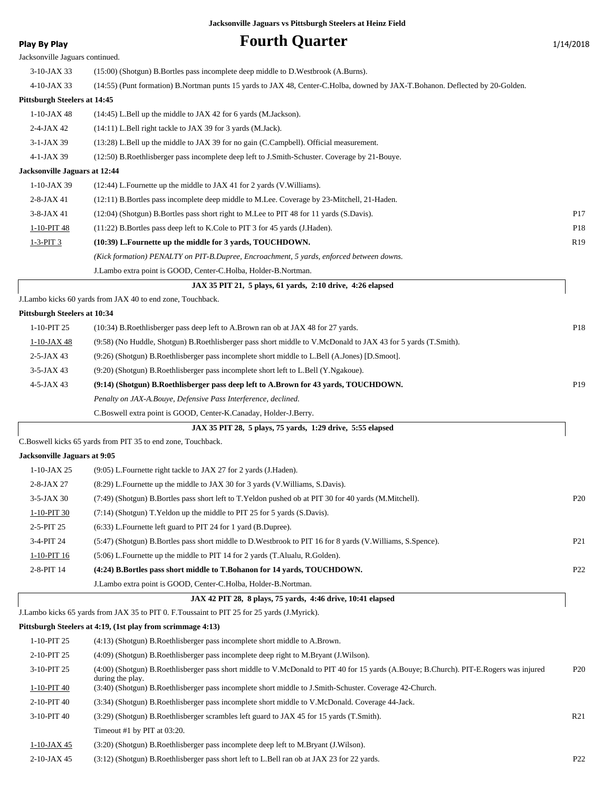### **Play By Play Play Play Play Fourth Quarter** 1/14/2018

| Jacksonville Jaguars continued.     |                                                                                                                                                            |                 |
|-------------------------------------|------------------------------------------------------------------------------------------------------------------------------------------------------------|-----------------|
| $3-10$ -JAX 33                      | (15:00) (Shotgun) B.Bortles pass incomplete deep middle to D.Westbrook (A.Burns).                                                                          |                 |
| 4-10-JAX 33                         | (14:55) (Punt formation) B.Nortman punts 15 yards to JAX 48, Center-C.Holba, downed by JAX-T.Bohanon. Deflected by 20-Golden.                              |                 |
| <b>Pittsburgh Steelers at 14:45</b> |                                                                                                                                                            |                 |
| $1-10$ -JAX 48                      | $(14:45)$ L.Bell up the middle to JAX 42 for 6 yards (M.Jackson).                                                                                          |                 |
| $2-4-JAX 42$                        | (14:11) L.Bell right tackle to JAX 39 for 3 yards (M.Jack).                                                                                                |                 |
| $3-1-JAX$ 39                        | (13:28) L.Bell up the middle to JAX 39 for no gain (C.Campbell). Official measurement.                                                                     |                 |
| 4-1-JAX 39                          | (12:50) B.Roethlisberger pass incomplete deep left to J.Smith-Schuster. Coverage by 21-Bouye.                                                              |                 |
| Jacksonville Jaguars at 12:44       |                                                                                                                                                            |                 |
| $1-10-JAX$ 39                       | (12:44) L. Fournette up the middle to JAX 41 for 2 yards (V. Williams).                                                                                    |                 |
| $2-8-JAX 41$                        | (12:11) B.Bortles pass incomplete deep middle to M.Lee. Coverage by 23-Mitchell, 21-Haden.                                                                 |                 |
| $3-8-JAX41$                         | (12:04) (Shotgun) B.Bortles pass short right to M.Lee to PIT 48 for 11 yards (S.Davis).                                                                    | P <sub>17</sub> |
| 1-10-PIT 48                         | (11:22) B. Bortles pass deep left to K. Cole to PIT 3 for 45 yards (J. Haden).                                                                             | P18             |
| 1-3-PIT 3                           | (10:39) L.Fournette up the middle for 3 yards, TOUCHDOWN.                                                                                                  | R <sub>19</sub> |
|                                     | (Kick formation) PENALTY on PIT-B.Dupree, Encroachment, 5 yards, enforced between downs.                                                                   |                 |
|                                     | J.Lambo extra point is GOOD, Center-C.Holba, Holder-B.Nortman.                                                                                             |                 |
|                                     | JAX 35 PIT 21, 5 plays, 61 yards, 2:10 drive, 4:26 elapsed                                                                                                 |                 |
|                                     | J.Lambo kicks 60 yards from JAX 40 to end zone, Touchback.                                                                                                 |                 |
| <b>Pittsburgh Steelers at 10:34</b> |                                                                                                                                                            |                 |
| 1-10-PIT 25                         | (10:34) B.Roethlisberger pass deep left to A.Brown ran ob at JAX 48 for 27 yards.                                                                          | P18             |
| 1-10-JAX 48                         | (9:58) (No Huddle, Shotgun) B.Roethlisberger pass short middle to V.McDonald to JAX 43 for 5 yards (T.Smith).                                              |                 |
| $2 - 5 - JAX 43$                    | (9:26) (Shotgun) B.Roethlisberger pass incomplete short middle to L.Bell (A.Jones) [D.Smoot].                                                              |                 |
| $3-5$ -JAX 43                       | (9:20) (Shotgun) B.Roethlisberger pass incomplete short left to L.Bell (Y.Ngakoue).                                                                        |                 |
| $4-5-JAX43$                         | (9:14) (Shotgun) B.Roethlisberger pass deep left to A.Brown for 43 yards, TOUCHDOWN.                                                                       | P19             |
|                                     | Penalty on JAX-A.Bouye, Defensive Pass Interference, declined.                                                                                             |                 |
|                                     | C.Boswell extra point is GOOD, Center-K.Canaday, Holder-J.Berry.                                                                                           |                 |
|                                     | JAX 35 PIT 28, 5 plays, 75 yards, 1:29 drive, 5:55 elapsed                                                                                                 |                 |
|                                     | C.Boswell kicks 65 yards from PIT 35 to end zone, Touchback.                                                                                               |                 |
| Jacksonville Jaguars at 9:05        |                                                                                                                                                            |                 |
| $1-10$ -JAX 25                      | (9:05) L.Fournette right tackle to JAX 27 for 2 yards (J.Haden).                                                                                           |                 |
| 2-8-JAX 27                          | (8:29) L.Fournette up the middle to JAX 30 for 3 yards (V.Williams, S.Davis).                                                                              |                 |
| 3-5-JAX 30                          | (7:49) (Shotgun) B.Bortles pass short left to T.Yeldon pushed ob at PIT 30 for 40 yards (M.Mitchell).                                                      | P <sub>20</sub> |
| 1-10-PIT 30                         | (7:14) (Shotgun) T. Yeldon up the middle to PIT 25 for 5 yards (S. Davis).                                                                                 |                 |
| 2-5-PIT 25                          | (6:33) L.Fournette left guard to PIT 24 for 1 yard (B.Dupree).                                                                                             |                 |
| 3-4-PIT 24                          | (5:47) (Shotgun) B.Bortles pass short middle to D.Westbrook to PIT 16 for 8 yards (V.Williams, S.Spence).                                                  | P <sub>21</sub> |
| $1-10-PIT$ 16                       | (5:06) L.Fournette up the middle to PIT 14 for 2 yards (T.Alualu, R.Golden).                                                                               |                 |
| 2-8-PIT 14                          | (4:24) B.Bortles pass short middle to T.Bohanon for 14 yards, TOUCHDOWN.                                                                                   | P22             |
|                                     | J.Lambo extra point is GOOD, Center-C.Holba, Holder-B.Nortman.                                                                                             |                 |
|                                     | JAX 42 PIT 28, 8 plays, 75 yards, 4:46 drive, 10:41 elapsed                                                                                                |                 |
|                                     | J.Lambo kicks 65 yards from JAX 35 to PIT 0. F.Toussaint to PIT 25 for 25 yards (J.Myrick).                                                                |                 |
|                                     | Pittsburgh Steelers at 4:19, (1st play from scrimmage 4:13)                                                                                                |                 |
| 1-10-PIT 25                         | (4:13) (Shotgun) B.Roethlisberger pass incomplete short middle to A.Brown.                                                                                 |                 |
| 2-10-PIT 25                         | (4:09) (Shotgun) B.Roethlisberger pass incomplete deep right to M.Bryant (J.Wilson).                                                                       |                 |
| 3-10-PIT 25                         | (4:00) (Shotgun) B.Roethlisberger pass short middle to V.McDonald to PIT 40 for 15 yards (A.Bouye; B.Church). PIT-E.Rogers was injured<br>during the play. | P <sub>20</sub> |
| 1-10-PIT 40                         | (3:40) (Shotgun) B.Roethlisberger pass incomplete short middle to J.Smith-Schuster. Coverage 42-Church.                                                    |                 |
| 2-10-PIT 40                         | (3:34) (Shotgun) B.Roethlisberger pass incomplete short middle to V.McDonald. Coverage 44-Jack.                                                            |                 |
| 3-10-PIT 40                         | (3:29) (Shotgun) B.Roethlisberger scrambles left guard to JAX 45 for 15 yards (T.Smith).                                                                   | R21             |
|                                     | Timeout #1 by PIT at 03:20.                                                                                                                                |                 |
| $1-10$ -JAX 45                      | (3:20) (Shotgun) B.Roethlisberger pass incomplete deep left to M.Bryant (J.Wilson).                                                                        |                 |
| 2-10-JAX 45                         | (3:12) (Shotgun) B.Roethlisberger pass short left to L.Bell ran ob at JAX 23 for 22 yards.                                                                 | P <sub>22</sub> |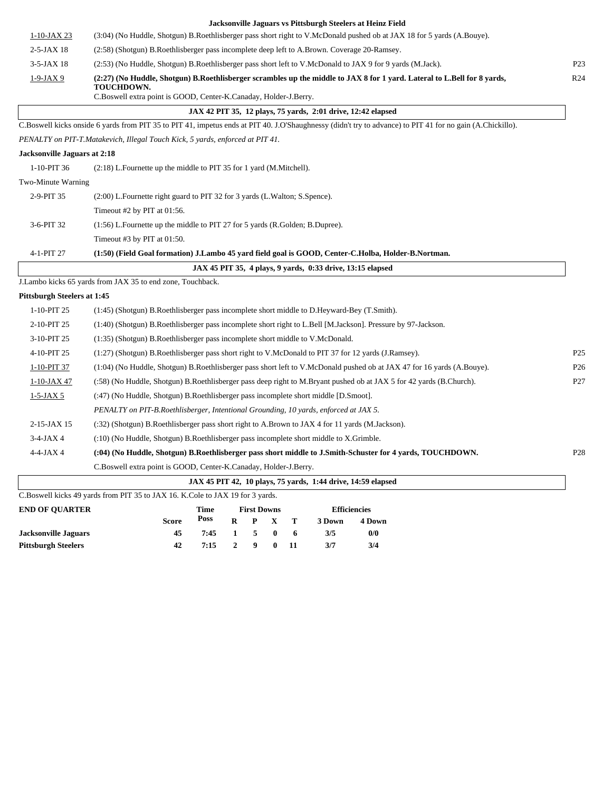|                              | Jacksonville Jaguars vs Pittsburgh Steelers at Heinz Field                                                                                                 |                 |
|------------------------------|------------------------------------------------------------------------------------------------------------------------------------------------------------|-----------------|
| $1-10-JAX 23$                | (3:04) (No Huddle, Shotgun) B.Roethlisberger pass short right to V.McDonald pushed ob at JAX 18 for 5 yards (A.Bouye).                                     |                 |
| $2-5$ -JAX 18                | (2:58) (Shotgun) B.Roethlisberger pass incomplete deep left to A.Brown. Coverage 20-Ramsey.                                                                |                 |
| 3-5-JAX 18                   | (2:53) (No Huddle, Shotgun) B.Roethlisberger pass short left to V.McDonald to JAX 9 for 9 yards (M.Jack).                                                  | P <sub>23</sub> |
| $1 - 9 - JAX 9$              | (2:27) (No Huddle, Shotgun) B.Roethlisberger scrambles up the middle to JAX 8 for 1 yard. Lateral to L.Bell for 8 yards,<br>TOUCHDOWN.                     | R <sub>24</sub> |
|                              | C.Boswell extra point is GOOD, Center-K.Canaday, Holder-J.Berry.                                                                                           |                 |
|                              | JAX 42 PIT 35, 12 plays, 75 yards, 2:01 drive, 12:42 elapsed                                                                                               |                 |
|                              | C.Boswell kicks onside 6 yards from PIT 35 to PIT 41, impetus ends at PIT 40. J.O'Shaughnessy (didn't try to advance) to PIT 41 for no gain (A.Chickillo). |                 |
|                              | PENALTY on PIT-T.Matakevich, Illegal Touch Kick, 5 yards, enforced at PIT 41.                                                                              |                 |
| Jacksonville Jaguars at 2:18 |                                                                                                                                                            |                 |
| 1-10-PIT 36                  | $(2:18)$ L. Fournette up the middle to PIT 35 for 1 yard (M. Mitchell).                                                                                    |                 |
| Two-Minute Warning           |                                                                                                                                                            |                 |
| 2-9-PIT 35                   | (2:00) L.Fournette right guard to PIT 32 for 3 yards (L.Walton; S.Spence).                                                                                 |                 |
|                              | Timeout #2 by PIT at $01:56$ .                                                                                                                             |                 |
| 3-6-PIT 32                   | (1:56) L. Fournette up the middle to PIT 27 for 5 yards (R. Golden; B. Dupree).                                                                            |                 |
|                              | Timeout #3 by PIT at $01:50$ .                                                                                                                             |                 |
| 4-1-PIT 27                   | (1:50) (Field Goal formation) J.Lambo 45 yard field goal is GOOD, Center-C.Holba, Holder-B.Nortman.                                                        |                 |
|                              | JAX 45 PIT 35, 4 plays, 9 yards, 0:33 drive, 13:15 elapsed                                                                                                 |                 |
|                              | J.Lambo kicks 65 yards from JAX 35 to end zone, Touchback.                                                                                                 |                 |
| Pittsburgh Steelers at 1:45  |                                                                                                                                                            |                 |
| 1-10-PIT 25                  | (1:45) (Shotgun) B.Roethlisberger pass incomplete short middle to D.Heyward-Bey (T.Smith).                                                                 |                 |
| 2-10-PIT 25                  | (1:40) (Shotgun) B.Roethlisberger pass incomplete short right to L.Bell [M.Jackson]. Pressure by 97-Jackson.                                               |                 |
| 3-10-PIT 25                  | (1:35) (Shotgun) B.Roethlisberger pass incomplete short middle to V.McDonald.                                                                              |                 |
| 4-10-PIT 25                  | (1:27) (Shotgun) B.Roethlisberger pass short right to V.McDonald to PIT 37 for 12 yards (J.Ramsey).                                                        | P <sub>25</sub> |
| 1-10-PIT 37                  | (1:04) (No Huddle, Shotgun) B.Roethlisberger pass short left to V.McDonald pushed ob at JAX 47 for 16 yards (A.Bouye).                                     | P <sub>26</sub> |
| 1-10-JAX 47                  | (:58) (No Huddle, Shotgun) B.Roethlisberger pass deep right to M.Bryant pushed ob at JAX 5 for 42 yards (B.Church).                                        | P27             |
| $1 - 5 - JAX 5$              | (:47) (No Huddle, Shotgun) B.Roethlisberger pass incomplete short middle [D.Smoot].                                                                        |                 |
|                              | PENALTY on PIT-B.Roethlisberger, Intentional Grounding, 10 yards, enforced at JAX 5.                                                                       |                 |
| 2-15-JAX 15                  | (:32) (Shotgun) B.Roethlisberger pass short right to A.Brown to JAX 4 for 11 yards (M.Jackson).                                                            |                 |
| $3-4-JAX4$                   | (:10) (No Huddle, Shotgun) B.Roethlisberger pass incomplete short middle to X.Grimble.                                                                     |                 |
| $4 - 4 - JAX 4$              | (:04) (No Huddle, Shotgun) B.Roethlisberger pass short middle to J.Smith-Schuster for 4 yards, TOUCHDOWN.                                                  | P <sub>28</sub> |
|                              |                                                                                                                                                            |                 |
|                              | C.Boswell extra point is GOOD, Center-K.Canaday, Holder-J.Berry.                                                                                           |                 |

| <b>END OF OUARTER</b>       |       | Time |              |                         |              |      | <b>Efficiencies</b> |        |  |
|-----------------------------|-------|------|--------------|-------------------------|--------------|------|---------------------|--------|--|
|                             | Score | Poss | $\mathbf{R}$ |                         | P X T        |      | 3 Down              | 4 Down |  |
| <b>Jacksonville Jaguars</b> | 45    | 7:45 |              | $1 \quad 5$             | - 0          | -6   | 3/5                 | 0/0    |  |
| Pittsburgh Steelers         | 42    | 7:15 | $\mathbf{2}$ | $\overline{\mathbf{9}}$ | $\mathbf{0}$ | - 11 | 3/7                 | 3/4    |  |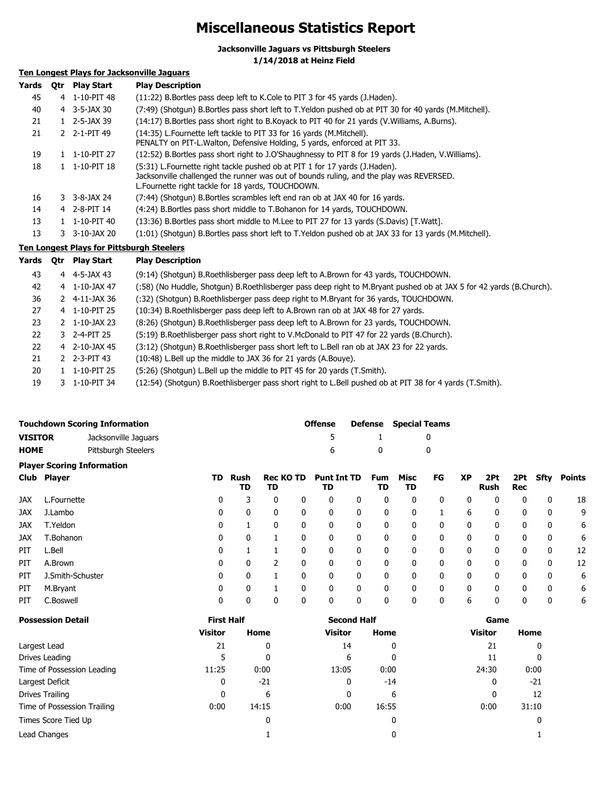### **Miscellaneous Statistics Report**

**Jacksonville Jaguars vs Pittsburgh Steelers**

**1/14/2018 at Heinz Field**

#### **Ten Longest Plays for Jacksonville Jaguars**

| Yards | <b>Otr</b> | <b>Play Start</b>          | <b>Play Description</b>                                                                                                                                                                                                     |
|-------|------------|----------------------------|-----------------------------------------------------------------------------------------------------------------------------------------------------------------------------------------------------------------------------|
| 45    |            | 4 1-10-PIT 48              | (11:22) B. Bortles pass deep left to K. Cole to PIT 3 for 45 yards (J. Haden).                                                                                                                                              |
| 40    |            | $4 \quad 3 - 5 - JAX 30$   | (7:49) (Shotgun) B.Bortles pass short left to T.Yeldon pushed ob at PIT 30 for 40 yards (M.Mitchell).                                                                                                                       |
| 21    |            | $1$ 2-5-JAX 39             | (14:17) B. Bortles pass short right to B. Koyack to PIT 40 for 21 yards (V. Williams, A. Burns).                                                                                                                            |
| 21    |            | 2 2-1-PIT 49               | (14:35) L. Fournette left tackle to PIT 33 for 16 yards (M. Mitchell).<br>PENALTY on PIT-L. Walton, Defensive Holding, 5 yards, enforced at PIT 33.                                                                         |
| 19    |            | $1 \quad 1 - 10 - PIT$ 27  | (12:52) B. Bortles pass short right to J. O'Shaughnessy to PIT 8 for 19 yards (J. Haden, V. Williams).                                                                                                                      |
| 18    |            | $1 \quad 1 - 10 - PIT$ 18  | (5:31) L.Fournette right tackle pushed ob at PIT 1 for 17 yards (J.Haden).<br>Jacksonville challenged the runner was out of bounds ruling, and the play was REVERSED.<br>L. Fournette right tackle for 18 yards, TOUCHDOWN. |
| 16    |            | $3 - 3 - 8 - 3A \times 24$ | (7:44) (Shotgun) B.Bortles scrambles left end ran ob at JAX 40 for 16 yards.                                                                                                                                                |
| 14    |            | 4 2-8-PIT 14               | (4:24) B Bortles pass short middle to T Bohanon for 14 yards, TOUCHDOWN.                                                                                                                                                    |
| 13    |            | $1 \quad 1 - 10 - PIT 40$  | (13:36) B. Bortles pass short middle to M. Lee to PIT 27 for 13 yards (S. Davis) [T. Watt].                                                                                                                                 |
| 13    | 3.         | 3-10-JAX 20                | (1:01) (Shotgun) B.Bortles pass short left to T.Yeldon pushed ob at JAX 33 for 13 yards (M.Mitchell).                                                                                                                       |

#### **Ten Longest Plays for Pittsburgh Steelers**

| Yards | 0tr | <b>Play Start</b>          | <b>Play Description</b>                                                                                             |
|-------|-----|----------------------------|---------------------------------------------------------------------------------------------------------------------|
| 43    |     | 4 4-5-JAX 43               | (9:14) (Shotgun) B.Roethlisberger pass deep left to A.Brown for 43 yards, TOUCHDOWN.                                |
| 42    |     | 4 1-10-JAX 47              | (:58) (No Huddle, Shotgun) B.Roethlisberger pass deep right to M.Bryant pushed ob at JAX 5 for 42 yards (B.Church). |
| 36    |     | $2$ 4-11-JAX 36            | (:32) (Shotgun) B.Roethlisberger pass deep right to M.Bryant for 36 yards, TOUCHDOWN.                               |
| 27    |     | 4 1-10-PIT 25              | (10:34) B.Roethlisberger pass deep left to A.Brown ran ob at JAX 48 for 27 yards.                                   |
| 23    |     | $2 \quad 1 - 10 - JAX\ 23$ | (8:26) (Shotgun) B. Roethlisberger pass deep left to A. Brown for 23 yards, TOUCHDOWN.                              |
| 22    |     | 3 2-4-PIT 25               | (5:19) B. Roethlisberger pass short right to V. McDonald to PIT 47 for 22 yards (B. Church).                        |
| 22    |     | 4 2-10-JAX 45              | (3:12) (Shotgun) B.Roethlisberger pass short left to L.Bell ran ob at JAX 23 for 22 yards.                          |
| 21    |     | 2 2-3-PIT 43               | (10:48) L.Bell up the middle to JAX 36 for 21 yards (A.Bouye).                                                      |
| 20    |     | $1 \quad 1 - 10 - PIT$ 25  | (5:26) (Shotgun) L.Bell up the middle to PIT 45 for 20 yards (T.Smith).                                             |
| 19    |     | 3 1-10-PIT 34              | (12:54) (Shotqun) B.Roethlisberger pass short right to L.Bell pushed ob at PIT 38 for 4 yards (T.Smith).            |

|                                        |                  | <b>Touchdown Scoring Information</b> |    |              |                        | <b>Offense</b> |                          | <b>Defense</b> | <b>Special Teams</b> |              |              |           |                    |            |              |               |
|----------------------------------------|------------------|--------------------------------------|----|--------------|------------------------|----------------|--------------------------|----------------|----------------------|--------------|--------------|-----------|--------------------|------------|--------------|---------------|
| <b>VISITOR</b><br>Jacksonville Jaguars |                  |                                      |    |              |                        | 5              |                          |                |                      | 0            |              |           |                    |            |              |               |
| <b>HOME</b>                            |                  | Pittsburgh Steelers                  |    |              |                        |                | 6                        |                | 0                    |              | 0            |           |                    |            |              |               |
|                                        |                  | <b>Player Scoring Information</b>    |    |              |                        |                |                          |                |                      |              |              |           |                    |            |              |               |
| <b>Club</b>                            | <b>Player</b>    |                                      | TD | Rush<br>TD   | <b>Rec KO TD</b><br>TD |                | <b>Punt Int TD</b><br>TD |                | <b>Fum</b><br>TD     | Misc<br>TD   | FG           | <b>XP</b> | 2Pt<br><b>Rush</b> | 2Pt<br>Rec | Sfty         | <b>Points</b> |
| <b>JAX</b>                             | L.Fournette      |                                      | 0  | 3            | $\mathbf{0}$           | 0              | 0                        | 0              | 0                    | $\mathbf{0}$ | 0            | 0         | 0                  | 0          | $\mathbf{0}$ | 18            |
| JAX                                    | J.Lambo          |                                      | 0  | 0            | 0                      | 0              | 0                        | 0              | 0                    | 0            |              | 6         | 0                  | 0          | 0            | 9             |
| JAX                                    | T.Yeldon         |                                      | 0  |              | 0                      | 0              | 0                        | 0              | 0                    | 0            | 0            | 0         | 0                  | 0          | 0            | 6             |
| JAX                                    | T.Bohanon        |                                      | 0  | 0            |                        | 0              | 0                        | 0              | 0                    | 0            | 0            | 0         | 0                  | 0          | 0            | 6             |
| PIT                                    | L.Bell           |                                      | 0  |              |                        | 0              | 0                        | 0              | 0                    | 0            | 0            | 0         | 0                  | 0          | 0            | 12            |
| PIT                                    | A.Brown          |                                      | 0  | 0            | 2                      | 0              | 0                        | 0              | 0                    | 0            | 0            | 0         | 0                  | 0          | 0            | 12            |
| PIT                                    | J.Smith-Schuster |                                      | 0  | $\mathbf{0}$ |                        | 0              | 0                        | 0              | 0                    | $\mathbf{0}$ | $\mathbf{0}$ | 0         | 0                  | 0          | 0            | 6             |
| PIT                                    | M.Bryant         |                                      | 0  | 0            |                        | $\mathbf{0}$   | 0                        | 0              | 0                    | 0            | 0            | 0         | 0                  | 0          | 0            | 6             |
| PIT                                    | C.Boswell        |                                      | 0  | 0            | 0                      | 0              | 0                        | 0              | 0                    | 0            | 0            | 6         | 0                  | 0          | 0            | 6             |

| <b>Possession Detail</b>    | <b>First Half</b> |       | <b>Second Half</b> |       | Game           |       |  |
|-----------------------------|-------------------|-------|--------------------|-------|----------------|-------|--|
|                             | <b>Visitor</b>    | Home  | <b>Visitor</b>     | Home  | <b>Visitor</b> | Home  |  |
| Largest Lead                | 21                | 0     | 14                 | 0     | 21             |       |  |
| Drives Leading              |                   | 0     | 6                  | 0     | 11             |       |  |
| Time of Possession Leading  | 11:25             | 0:00  | 13:05              | 0:00  | 24:30          | 0:00  |  |
| Largest Deficit             | 0                 | $-21$ | 0                  | $-14$ | 0              | $-21$ |  |
| Drives Trailing             | 0                 | 6     | 0                  | 6     | 0              | 12    |  |
| Time of Possession Trailing | 0:00              | 14:15 | 0:00               | 16:55 | 0:00           | 31:10 |  |
| Times Score Tied Up         |                   | 0     |                    | 0     |                |       |  |
| Lead Changes                |                   |       |                    | 0     |                |       |  |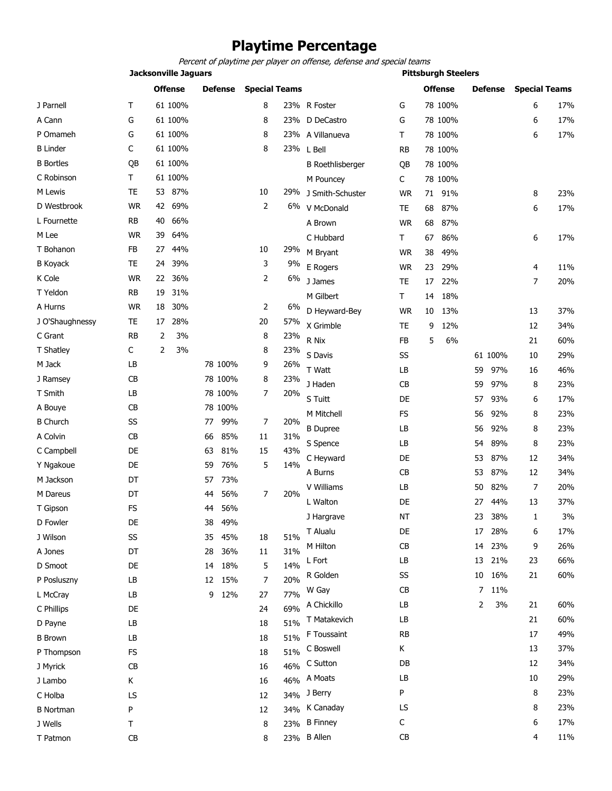## **Playtime Percentage**

*Percent of playtime per player on offense, defense and special teams*

|                  |           | <b>Jacksonville Jaguars</b> |                |                      |       | <b>Pittsburgh Steelers</b> |             |                |           |                      |     |  |  |
|------------------|-----------|-----------------------------|----------------|----------------------|-------|----------------------------|-------------|----------------|-----------|----------------------|-----|--|--|
|                  |           | <b>Offense</b>              | <b>Defense</b> | <b>Special Teams</b> |       |                            |             | <b>Offense</b> | Defense   | <b>Special Teams</b> |     |  |  |
| J Parnell        | Τ         | 61 100%                     |                | 8                    |       | 23% R Foster               | G           | 78 100%        |           | 6                    | 17% |  |  |
| A Cann           | G         | 61 100%                     |                | 8                    | 23%   | D DeCastro                 | G           | 78 100%        |           | 6                    | 17% |  |  |
| P Omameh         | G         | 61 100%                     |                | 8                    |       | 23% A Villanueva           | Τ           | 78 100%        |           | 6                    | 17% |  |  |
| <b>B</b> Linder  | C         | 61 100%                     |                | 8                    | 23%   | L Bell                     | <b>RB</b>   | 78 100%        |           |                      |     |  |  |
| <b>B</b> Bortles | QB        | 61 100%                     |                |                      |       | <b>B</b> Roethlisberger    | QB          | 78 100%        |           |                      |     |  |  |
| C Robinson       | т         | 61 100%                     |                |                      |       | M Pouncey                  | С           | 78 100%        |           |                      |     |  |  |
| M Lewis          | TE        | 53 87%                      |                | 10                   | 29%   | J Smith-Schuster           | <b>WR</b>   | 91%<br>71      |           | 8                    | 23% |  |  |
| D Westbrook      | <b>WR</b> | 42 69%                      |                | 2                    | 6%    | V McDonald                 | TE          | 87%<br>68      |           | 6                    | 17% |  |  |
| L Fournette      | RB        | 66%<br>40                   |                |                      |       | A Brown                    | <b>WR</b>   | 68<br>87%      |           |                      |     |  |  |
| M Lee            | <b>WR</b> | 39<br>64%                   |                |                      |       | C Hubbard                  | Τ           | 86%<br>67      |           | 6                    | 17% |  |  |
| T Bohanon        | FB        | 44%<br>27                   |                | 10                   | 29%   | M Bryant                   | WR          | 49%<br>38      |           |                      |     |  |  |
| <b>B</b> Koyack  | TE        | 39%<br>24                   |                | 3                    | 9%    | E Rogers                   | <b>WR</b>   | 23<br>29%      |           | 4                    | 11% |  |  |
| K Cole           | <b>WR</b> | 36%<br>22                   |                | 2                    | $6\%$ | J James                    | TE          | 22%<br>17      |           | 7                    | 20% |  |  |
| T Yeldon         | RB        | 31%<br>19                   |                |                      |       | M Gilbert                  | $\mathsf T$ | 18%<br>14      |           |                      |     |  |  |
| A Hurns          | <b>WR</b> | 18<br>30%                   |                | 2                    | 6%    | D Heyward-Bey              | <b>WR</b>   | 13%<br>10      |           | 13                   | 37% |  |  |
| J O'Shaughnessy  | TE        | 17<br>28%                   |                | 20                   | 57%   | X Grimble                  | TE          | 12%<br>9       |           | 12                   | 34% |  |  |
| C Grant          | RB        | 2<br>3%                     |                | 8                    | 23%   | R Nix                      | FB          | 6%<br>5        |           | 21                   | 60% |  |  |
| T Shatley        | С         | $\overline{2}$<br>3%        |                | 8                    | 23%   | S Davis                    | SS          |                | 61 100%   | 10                   | 29% |  |  |
| M Jack           | LB        |                             | 78 100%        | 9                    | 26%   | T Watt                     | LB          |                | 97%<br>59 | 16                   | 46% |  |  |
| J Ramsey         | CB        |                             | 78 100%        | 8                    | 23%   | J Haden                    | CB          |                | 97%<br>59 | 8                    | 23% |  |  |
| T Smith          | LB        |                             | 78 100%        | 7                    | 20%   | S Tuitt                    | DE          |                | 93%<br>57 | 6                    | 17% |  |  |
| A Bouye          | CB        |                             | 78 100%        |                      |       | M Mitchell                 | FS          |                | 92%<br>56 | 8                    | 23% |  |  |
| <b>B Church</b>  | SS        |                             | 99%<br>77      | 7                    | 20%   | <b>B</b> Dupree            | LB          |                | 92%<br>56 | 8                    | 23% |  |  |
| A Colvin         | CB        |                             | 85%<br>66      | 11                   | 31%   | S Spence                   | LB          |                | 89%<br>54 | 8                    | 23% |  |  |
| C Campbell       | DE        |                             | 81%<br>63      | 15                   | 43%   |                            |             |                | 87%       |                      | 34% |  |  |
| Y Ngakoue        | DE        |                             | 59<br>76%      | 5                    | 14%   | C Heyward<br>A Burns       | DE<br>CB    |                | 53<br>87% | 12                   | 34% |  |  |
| M Jackson        | DT        |                             | 73%<br>57      |                      |       | V Williams                 | LB          |                | 53        | 12                   | 20% |  |  |
| M Dareus         | DT        |                             | 56%<br>44      | 7                    | 20%   |                            |             |                | 82%<br>50 | 7                    |     |  |  |
| T Gipson         | FS        |                             | 56%<br>44      |                      |       | L Walton                   | DE          |                | 44%<br>27 | 13                   | 37% |  |  |
| D Fowler         | DE        |                             | 49%<br>38      |                      |       | J Hargrave                 | NT          |                | 23<br>38% | $\mathbf{1}$         | 3%  |  |  |
| J Wilson         | SS        |                             | 45%<br>35      | 18                   | 51%   | T Alualu                   | DE          |                | 28%<br>17 | 6                    | 17% |  |  |
| A Jones          | DT        |                             | 36%<br>28      | 11                   | 31%   | M Hilton                   | CB          |                | 14<br>23% | 9                    | 26% |  |  |
| D Smoot          | DE        |                             | 14 18%         | 5                    | 14%   | L Fort                     | LB          |                | 21%<br>13 | 23                   | 66% |  |  |
| P Posluszny      | LB        |                             | 15%<br>12      | 7                    | 20%   | R Golden                   | SS          |                | 16%<br>10 | 21                   | 60% |  |  |
| L McCray         | LB        |                             | 12%<br>9       | 27                   | 77%   | W Gay                      | CB          |                | 11%<br>7  |                      |     |  |  |
| C Phillips       | DE        |                             |                | 24                   | 69%   | A Chickillo                | LB          |                | 3%<br>2   | 21                   | 60% |  |  |
| D Payne          | LB        |                             |                | 18                   | 51%   | T Matakevich               | LB          |                |           | 21                   | 60% |  |  |
| <b>B</b> Brown   | LB        |                             |                | 18                   | 51%   | F Toussaint                | <b>RB</b>   |                |           | 17                   | 49% |  |  |
| P Thompson       | <b>FS</b> |                             |                | 18                   | 51%   | C Boswell                  | К           |                |           | 13                   | 37% |  |  |
| J Myrick         | CB        |                             |                | 16                   | 46%   | C Sutton                   | DB          |                |           | 12                   | 34% |  |  |
| J Lambo          | K         |                             |                | 16                   | 46%   | A Moats                    | LB          |                |           | 10                   | 29% |  |  |
| C Holba          | LS        |                             |                | 12                   |       | 34% J Berry                | P           |                |           | 8                    | 23% |  |  |
| B Nortman        | P         |                             |                | 12                   | 34%   | K Canaday                  | LS          |                |           | 8                    | 23% |  |  |
| J Wells          | Τ         |                             |                | 8                    |       | 23% B Finney               | С           |                |           | 6                    | 17% |  |  |
| T Patmon         | CB        |                             |                | 8                    |       | 23% B Allen                | СB          |                |           | 4                    | 11% |  |  |